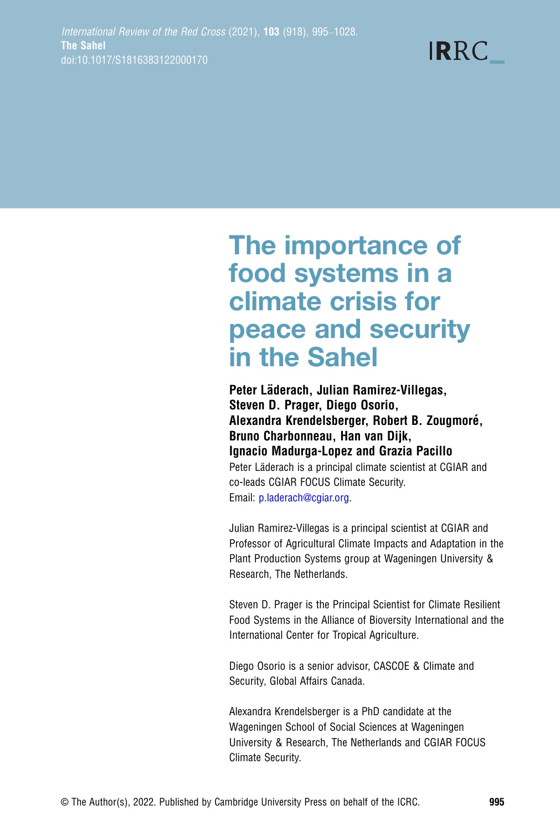**IRRC** 

# The importance of food systems in a climate crisis for peace and security in the Sahel

Peter Läderach, Julian Ramirez-Villegas, Steven D. Prager, Diego Osorio, Alexandra Krendelsberger, Robert B. Zougmoré, Bruno Charbonneau, Han van Dijk, Ignacio Madurga-Lopez and Grazia Pacillo Peter Läderach is a principal climate scientist at CGIAR and co-leads CGIAR FOCUS Climate Security. Email: [p.laderach@cgiar.org.](mailto:p.laderach@cgiar.org)

Julian Ramirez-Villegas is a principal scientist at CGIAR and Professor of Agricultural Climate Impacts and Adaptation in the Plant Production Systems group at Wageningen University & Research, The Netherlands.

Steven D. Prager is the Principal Scientist for Climate Resilient Food Systems in the Alliance of Bioversity International and the International Center for Tropical Agriculture.

Diego Osorio is a senior advisor, CASCOE & Climate and Security, Global Affairs Canada.

Alexandra Krendelsberger is a PhD candidate at the Wageningen School of Social Sciences at Wageningen University & Research, The Netherlands and CGIAR FOCUS Climate Security.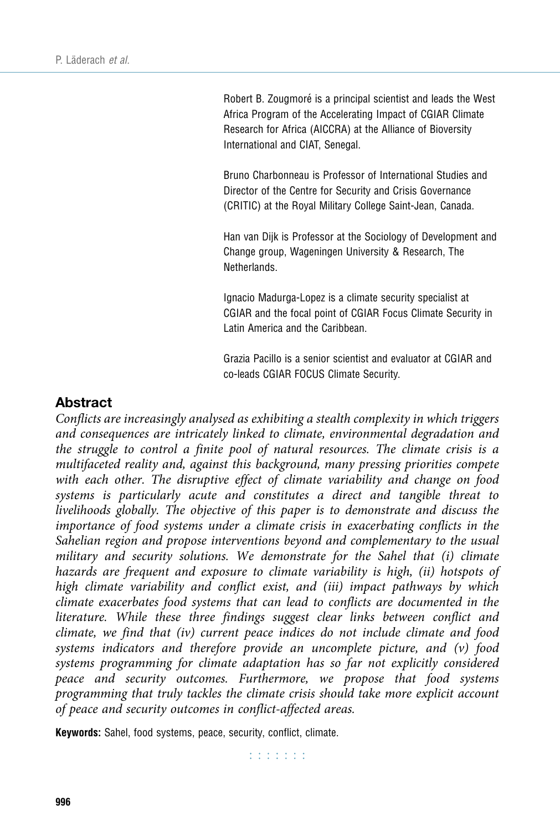Robert B. Zougmoré is a principal scientist and leads the West Africa Program of the Accelerating Impact of CGIAR Climate Research for Africa (AICCRA) at the Alliance of Bioversity International and CIAT, Senegal.

Bruno Charbonneau is Professor of International Studies and Director of the Centre for Security and Crisis Governance (CRITIC) at the Royal Military College Saint-Jean, Canada.

Han van Dijk is Professor at the Sociology of Development and Change group, Wageningen University & Research, The Netherlands.

Ignacio Madurga-Lopez is a climate security specialist at CGIAR and the focal point of CGIAR Focus Climate Security in Latin America and the Caribbean.

Grazia Pacillo is a senior scientist and evaluator at CGIAR and co-leads CGIAR FOCUS Climate Security.

## Abstract

Conflicts are increasingly analysed as exhibiting a stealth complexity in which triggers and consequences are intricately linked to climate, environmental degradation and the struggle to control a finite pool of natural resources. The climate crisis is a multifaceted reality and, against this background, many pressing priorities compete with each other. The disruptive effect of climate variability and change on food systems is particularly acute and constitutes a direct and tangible threat to livelihoods globally. The objective of this paper is to demonstrate and discuss the importance of food systems under a climate crisis in exacerbating conflicts in the Sahelian region and propose interventions beyond and complementary to the usual military and security solutions. We demonstrate for the Sahel that (i) climate hazards are frequent and exposure to climate variability is high, (ii) hotspots of high climate variability and conflict exist, and (iii) impact pathways by which climate exacerbates food systems that can lead to conflicts are documented in the literature. While these three findings suggest clear links between conflict and climate, we find that (iv) current peace indices do not include climate and food systems indicators and therefore provide an uncomplete picture, and (v) food systems programming for climate adaptation has so far not explicitly considered peace and security outcomes. Furthermore, we propose that food systems programming that truly tackles the climate crisis should take more explicit account of peace and security outcomes in conflict-affected areas.

Keywords: Sahel, food systems, peace, security, conflict, climate.

r r r r r r r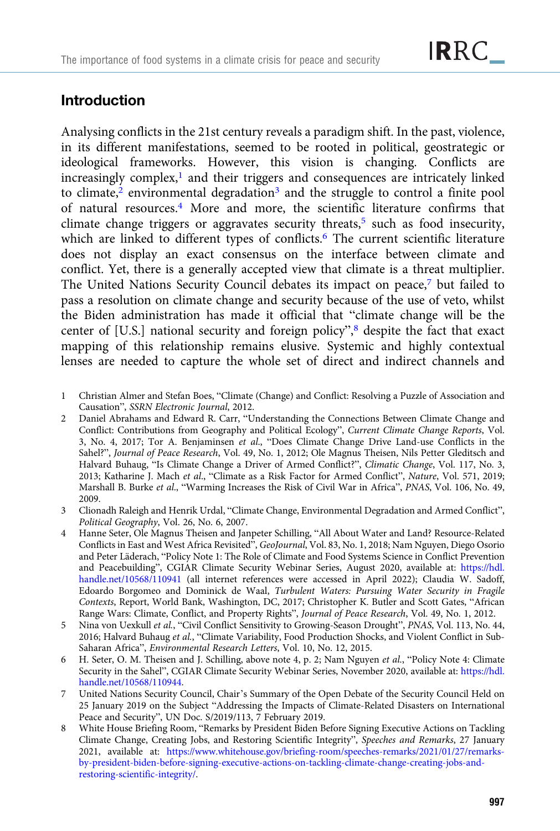# Introduction

Analysing conflicts in the 21st century reveals a paradigm shift. In the past, violence, in its different manifestations, seemed to be rooted in political, geostrategic or ideological frameworks. However, this vision is changing. Conflicts are  $increasingly complex$ , and their triggers and consequences are intricately linked to climate, $\frac{2}{3}$  environmental degradation<sup>3</sup> and the struggle to control a finite pool of natural resources.4 More and more, the scientific literature confirms that climate change triggers or aggravates security threats,<sup>5</sup> such as food insecurity, which are linked to different types of conflicts.<sup>6</sup> The current scientific literature does not display an exact consensus on the interface between climate and conflict. Yet, there is a generally accepted view that climate is a threat multiplier. The United Nations Security Council debates its impact on peace,7 but failed to pass a resolution on climate change and security because of the use of veto, whilst the Biden administration has made it official that "climate change will be the center of [U.S.] national security and foreign policy",<sup>8</sup> despite the fact that exact mapping of this relationship remains elusive. Systemic and highly contextual lenses are needed to capture the whole set of direct and indirect channels and

- 1 Christian Almer and Stefan Boes, "Climate (Change) and Conflict: Resolving a Puzzle of Association and Causation", SSRN Electronic Journal, 2012.
- 2 Daniel Abrahams and Edward R. Carr, "Understanding the Connections Between Climate Change and Conflict: Contributions from Geography and Political Ecology", Current Climate Change Reports, Vol. 3, No. 4, 2017; Tor A. Benjaminsen et al., "Does Climate Change Drive Land-use Conflicts in the Sahel?", Journal of Peace Research, Vol. 49, No. 1, 2012; Ole Magnus Theisen, Nils Petter Gleditsch and Halvard Buhaug, "Is Climate Change a Driver of Armed Conflict?", Climatic Change, Vol. 117, No. 3, 2013; Katharine J. Mach et al., "Climate as a Risk Factor for Armed Conflict", Nature, Vol. 571, 2019; Marshall B. Burke et al., "Warming Increases the Risk of Civil War in Africa", PNAS, Vol. 106, No. 49, 2009.
- 3 Clionadh Raleigh and Henrik Urdal, "Climate Change, Environmental Degradation and Armed Conflict", Political Geography, Vol. 26, No. 6, 2007.
- 4 Hanne Seter, Ole Magnus Theisen and Janpeter Schilling, "All About Water and Land? Resource-Related Conflicts in East and West Africa Revisited", GeoJournal, Vol. 83, No. 1, 2018; Nam Nguyen, Diego Osorio and Peter Läderach, "Policy Note 1: The Role of Climate and Food Systems Science in Conflict Prevention and Peacebuilding", CGIAR Climate Security Webinar Series, August 2020, available at: [https://hdl.](https://hdl.handle.net/10568/110941) [handle.net/10568/110941](https://hdl.handle.net/10568/110941) (all internet references were accessed in April 2022); Claudia W. Sadoff, Edoardo Borgomeo and Dominick de Waal, Turbulent Waters: Pursuing Water Security in Fragile Contexts, Report, World Bank, Washington, DC, 2017; Christopher K. Butler and Scott Gates, "African Range Wars: Climate, Conflict, and Property Rights", Journal of Peace Research, Vol. 49, No. 1, 2012.
- 5 Nina von Uexkull et al., "Civil Conflict Sensitivity to Growing-Season Drought", PNAS, Vol. 113, No. 44, 2016; Halvard Buhaug et al., "Climate Variability, Food Production Shocks, and Violent Conflict in Sub-Saharan Africa", Environmental Research Letters, Vol. 10, No. 12, 2015.
- 6 H. Seter, O. M. Theisen and J. Schilling, above note 4, p. 2; Nam Nguyen et al., "Policy Note 4: Climate Security in the Sahel", CGIAR Climate Security Webinar Series, November 2020, available at: [https://hdl.](https://hdl.handle.net/10568/110944) [handle.net/10568/110944](https://hdl.handle.net/10568/110944).
- 7 United Nations Security Council, Chair's Summary of the Open Debate of the Security Council Held on 25 January 2019 on the Subject "Addressing the Impacts of Climate-Related Disasters on International Peace and Security", UN Doc. S/2019/113, 7 February 2019.
- 8 White House Briefing Room, "Remarks by President Biden Before Signing Executive Actions on Tackling Climate Change, Creating Jobs, and Restoring Scientific Integrity", Speeches and Remarks, 27 January 2021, available at: [https://www.whitehouse.gov/briefing-room/speeches-remarks/2021/01/27/remarks](https://www.whitehouse.gov/briefing-room/speeches-remarks/2021/01/27/remarks-by-president-biden-before-signing-executive-actions-on-tackling-climate-change-creating-jobs-and-restoring-scientific-integrity/)[by-president-biden-before-signing-executive-actions-on-tackling-climate-change-creating-jobs-and](https://www.whitehouse.gov/briefing-room/speeches-remarks/2021/01/27/remarks-by-president-biden-before-signing-executive-actions-on-tackling-climate-change-creating-jobs-and-restoring-scientific-integrity/)[restoring-scientific-integrity/.](https://www.whitehouse.gov/briefing-room/speeches-remarks/2021/01/27/remarks-by-president-biden-before-signing-executive-actions-on-tackling-climate-change-creating-jobs-and-restoring-scientific-integrity/)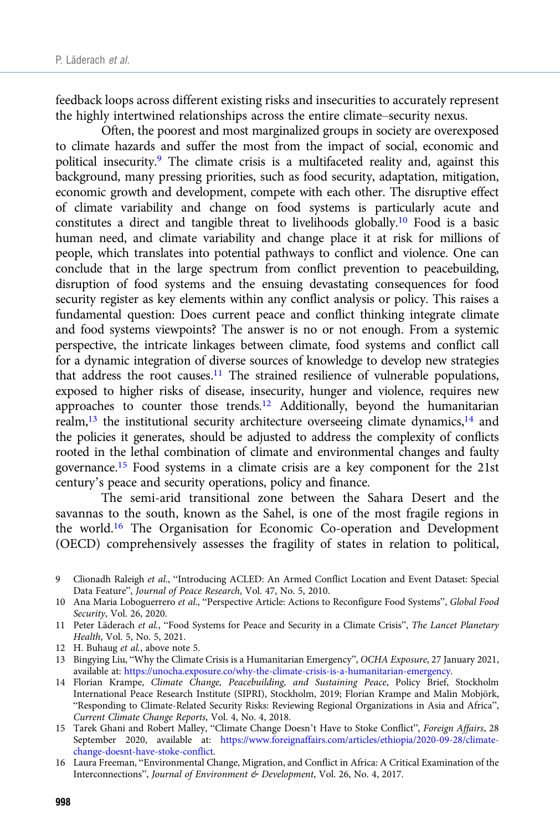feedback loops across different existing risks and insecurities to accurately represent the highly intertwined relationships across the entire climate–security nexus.

Often, the poorest and most marginalized groups in society are overexposed to climate hazards and suffer the most from the impact of social, economic and political insecurity.9 The climate crisis is a multifaceted reality and, against this background, many pressing priorities, such as food security, adaptation, mitigation, economic growth and development, compete with each other. The disruptive effect of climate variability and change on food systems is particularly acute and constitutes a direct and tangible threat to livelihoods globally.10 Food is a basic human need, and climate variability and change place it at risk for millions of people, which translates into potential pathways to conflict and violence. One can conclude that in the large spectrum from conflict prevention to peacebuilding, disruption of food systems and the ensuing devastating consequences for food security register as key elements within any conflict analysis or policy. This raises a fundamental question: Does current peace and conflict thinking integrate climate and food systems viewpoints? The answer is no or not enough. From a systemic perspective, the intricate linkages between climate, food systems and conflict call for a dynamic integration of diverse sources of knowledge to develop new strategies that address the root causes.11 The strained resilience of vulnerable populations, exposed to higher risks of disease, insecurity, hunger and violence, requires new approaches to counter those trends.12 Additionally, beyond the humanitarian realm,<sup>13</sup> the institutional security architecture overseeing climate dynamics,<sup>14</sup> and the policies it generates, should be adjusted to address the complexity of conflicts rooted in the lethal combination of climate and environmental changes and faulty governance.15 Food systems in a climate crisis are a key component for the 21st century's peace and security operations, policy and finance.

The semi-arid transitional zone between the Sahara Desert and the savannas to the south, known as the Sahel, is one of the most fragile regions in the world.16 The Organisation for Economic Co-operation and Development (OECD) comprehensively assesses the fragility of states in relation to political,

- 9 Clionadh Raleigh et al., "Introducing ACLED: An Armed Conflict Location and Event Dataset: Special Data Feature", Journal of Peace Research, Vol. 47, No. 5, 2010.
- 10 Ana Maria Loboguerrero et al., "Perspective Article: Actions to Reconfigure Food Systems", Global Food Security, Vol. 26, 2020.
- 11 Peter Läderach et al., "Food Systems for Peace and Security in a Climate Crisis", The Lancet Planetary Health, Vol. 5, No. 5, 2021.
- 12 H. Buhaug et al., above note 5.
- 13 Bingying Liu, "Why the Climate Crisis is a Humanitarian Emergency", OCHA Exposure, 27 January 2021, available at: [https://unocha.exposure.co/why-the-climate-crisis-is-a-humanitarian-emergency.](https://unocha.exposure.co/why-the-climate-crisis-is-a-humanitarian-emergency)
- 14 Florian Krampe, Climate Change, Peacebuilding, and Sustaining Peace, Policy Brief, Stockholm International Peace Research Institute (SIPRI), Stockholm, 2019; Florian Krampe and Malin Mobjörk, "Responding to Climate-Related Security Risks: Reviewing Regional Organizations in Asia and Africa", Current Climate Change Reports, Vol. 4, No. 4, 2018.
- 15 Tarek Ghani and Robert Malley, "Climate Change Doesn't Have to Stoke Conflict", Foreign Affairs, 28 September 2020, available at: [https://www.foreignaffairs.com/articles/ethiopia/2020-09-28/climate](https://www.foreignaffairs.com/articles/ethiopia/2020-09-28/climate-change-doesnt-have-stoke-conflict)[change-doesnt-have-stoke-conflict](https://www.foreignaffairs.com/articles/ethiopia/2020-09-28/climate-change-doesnt-have-stoke-conflict).
- 16 Laura Freeman, "Environmental Change, Migration, and Conflict in Africa: A Critical Examination of the Interconnections", Journal of Environment & Development, Vol. 26, No. 4, 2017.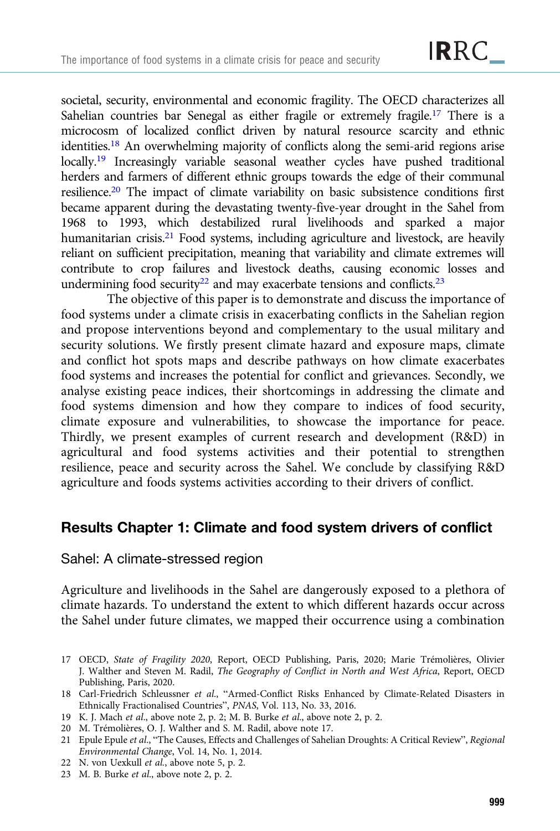societal, security, environmental and economic fragility. The OECD characterizes all Sahelian countries bar Senegal as either fragile or extremely fragile.<sup>17</sup> There is a microcosm of localized conflict driven by natural resource scarcity and ethnic identities.18 An overwhelming majority of conflicts along the semi-arid regions arise locally.<sup>19</sup> Increasingly variable seasonal weather cycles have pushed traditional herders and farmers of different ethnic groups towards the edge of their communal resilience.20 The impact of climate variability on basic subsistence conditions first became apparent during the devastating twenty-five-year drought in the Sahel from 1968 to 1993, which destabilized rural livelihoods and sparked a major humanitarian crisis.<sup>21</sup> Food systems, including agriculture and livestock, are heavily reliant on sufficient precipitation, meaning that variability and climate extremes will contribute to crop failures and livestock deaths, causing economic losses and undermining food security<sup>22</sup> and may exacerbate tensions and conflicts.<sup>23</sup>

The objective of this paper is to demonstrate and discuss the importance of food systems under a climate crisis in exacerbating conflicts in the Sahelian region and propose interventions beyond and complementary to the usual military and security solutions. We firstly present climate hazard and exposure maps, climate and conflict hot spots maps and describe pathways on how climate exacerbates food systems and increases the potential for conflict and grievances. Secondly, we analyse existing peace indices, their shortcomings in addressing the climate and food systems dimension and how they compare to indices of food security, climate exposure and vulnerabilities, to showcase the importance for peace. Thirdly, we present examples of current research and development (R&D) in agricultural and food systems activities and their potential to strengthen resilience, peace and security across the Sahel. We conclude by classifying R&D agriculture and foods systems activities according to their drivers of conflict.

# Results Chapter 1: Climate and food system drivers of conflict

Sahel: A climate-stressed region

Agriculture and livelihoods in the Sahel are dangerously exposed to a plethora of climate hazards. To understand the extent to which different hazards occur across the Sahel under future climates, we mapped their occurrence using a combination

- 17 OECD, State of Fragility 2020, Report, OECD Publishing, Paris, 2020; Marie Trémolières, Olivier J. Walther and Steven M. Radil, The Geography of Conflict in North and West Africa, Report, OECD Publishing, Paris, 2020.
- 18 Carl-Friedrich Schleussner et al., "Armed-Conflict Risks Enhanced by Climate-Related Disasters in Ethnically Fractionalised Countries", PNAS, Vol. 113, No. 33, 2016.
- 19 K. J. Mach et al., above note 2, p. 2; M. B. Burke et al., above note 2, p. 2.
- 20 M. Trémolières, O. J. Walther and S. M. Radil, above note 17.
- 21 Epule Epule et al., "The Causes, Effects and Challenges of Sahelian Droughts: A Critical Review", Regional Environmental Change, Vol. 14, No. 1, 2014.
- 22 N. von Uexkull et al., above note 5, p. 2.
- 23 M. B. Burke et al., above note 2, p. 2.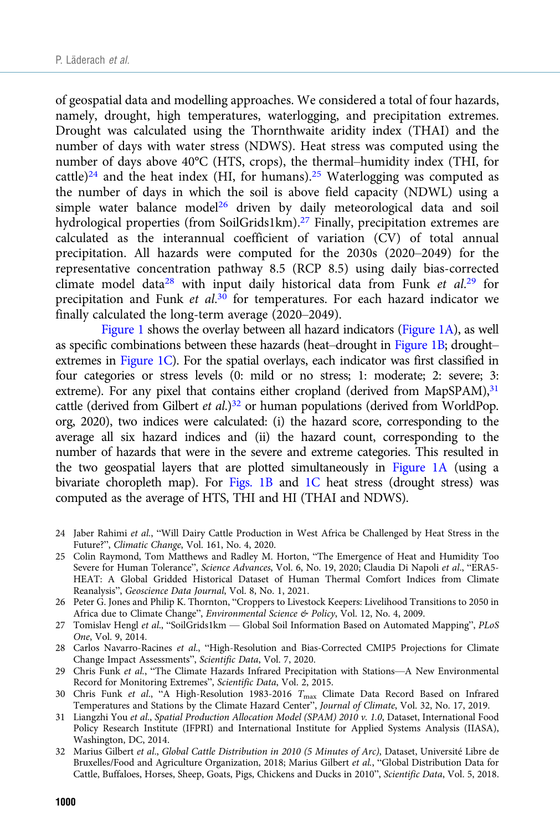of geospatial data and modelling approaches. We considered a total of four hazards, namely, drought, high temperatures, waterlogging, and precipitation extremes. Drought was calculated using the Thornthwaite aridity index (THAI) and the number of days with water stress (NDWS). Heat stress was computed using the number of days above 40°C (HTS, crops), the thermal–humidity index (THI, for cattle)<sup>24</sup> and the heat index (HI, for humans).<sup>25</sup> Waterlogging was computed as the number of days in which the soil is above field capacity (NDWL) using a simple water balance model<sup>26</sup> driven by daily meteorological data and soil hydrological properties (from SoilGrids1km).<sup>27</sup> Finally, precipitation extremes are calculated as the interannual coefficient of variation (CV) of total annual precipitation. All hazards were computed for the 2030s (2020–2049) for the representative concentration pathway 8.5 (RCP 8.5) using daily bias-corrected climate model data<sup>28</sup> with input daily historical data from Funk et al.<sup>29</sup> for precipitation and Funk et al.<sup>30</sup> for temperatures. For each hazard indicator we finally calculated the long-term average (2020–2049).

[Figure 1](#page-6-0) shows the overlay between all hazard indicators [\(Figure 1A\)](#page-6-0), as well as specific combinations between these hazards (heat–drought in [Figure 1B;](#page-6-0) drought– extremes in [Figure 1C\)](#page-6-0). For the spatial overlays, each indicator was first classified in four categories or stress levels (0: mild or no stress; 1: moderate; 2: severe; 3: extreme). For any pixel that contains either cropland (derived from MapSPAM), $31$ cattle (derived from Gilbert et al.)<sup>32</sup> or human populations (derived from WorldPop. org, 2020), two indices were calculated: (i) the hazard score, corresponding to the average all six hazard indices and (ii) the hazard count, corresponding to the number of hazards that were in the severe and extreme categories. This resulted in the two geospatial layers that are plotted simultaneously in [Figure 1A](#page-6-0) (using a bivariate choropleth map). For [Figs. 1B](#page-6-0) and [1C](#page-6-0) heat stress (drought stress) was computed as the average of HTS, THI and HI (THAI and NDWS).

- 24 Jaber Rahimi et al., "Will Dairy Cattle Production in West Africa be Challenged by Heat Stress in the Future?", Climatic Change, Vol. 161, No. 4, 2020.
- 25 Colin Raymond, Tom Matthews and Radley M. Horton, "The Emergence of Heat and Humidity Too Severe for Human Tolerance", Science Advances, Vol. 6, No. 19, 2020; Claudia Di Napoli et al., "ERA5- HEAT: A Global Gridded Historical Dataset of Human Thermal Comfort Indices from Climate Reanalysis", Geoscience Data Journal, Vol. 8, No. 1, 2021.
- 26 Peter G. Jones and Philip K. Thornton, "Croppers to Livestock Keepers: Livelihood Transitions to 2050 in Africa due to Climate Change", Environmental Science & Policy, Vol. 12, No. 4, 2009.
- 27 Tomislav Hengl et al., "SoilGrids1km Global Soil Information Based on Automated Mapping", PLoS One, Vol. 9, 2014.
- 28 Carlos Navarro-Racines et al., "High-Resolution and Bias-Corrected CMIP5 Projections for Climate Change Impact Assessments", Scientific Data, Vol. 7, 2020.
- 29 Chris Funk et al., "The Climate Hazards Infrared Precipitation with Stations—A New Environmental Record for Monitoring Extremes", Scientific Data, Vol. 2, 2015.
- 30 Chris Funk et al., "A High-Resolution 1983-2016 T<sub>max</sub> Climate Data Record Based on Infrared Temperatures and Stations by the Climate Hazard Center", Journal of Climate, Vol. 32, No. 17, 2019.
- 31 Liangzhi You et al., Spatial Production Allocation Model (SPAM) 2010 v. 1.0, Dataset, International Food Policy Research Institute (IFPRI) and International Institute for Applied Systems Analysis (IIASA), Washington, DC, 2014.
- 32 Marius Gilbert et al., Global Cattle Distribution in 2010 (5 Minutes of Arc), Dataset, Université Libre de Bruxelles/Food and Agriculture Organization, 2018; Marius Gilbert et al., "Global Distribution Data for Cattle, Buffaloes, Horses, Sheep, Goats, Pigs, Chickens and Ducks in 2010", Scientific Data, Vol. 5, 2018.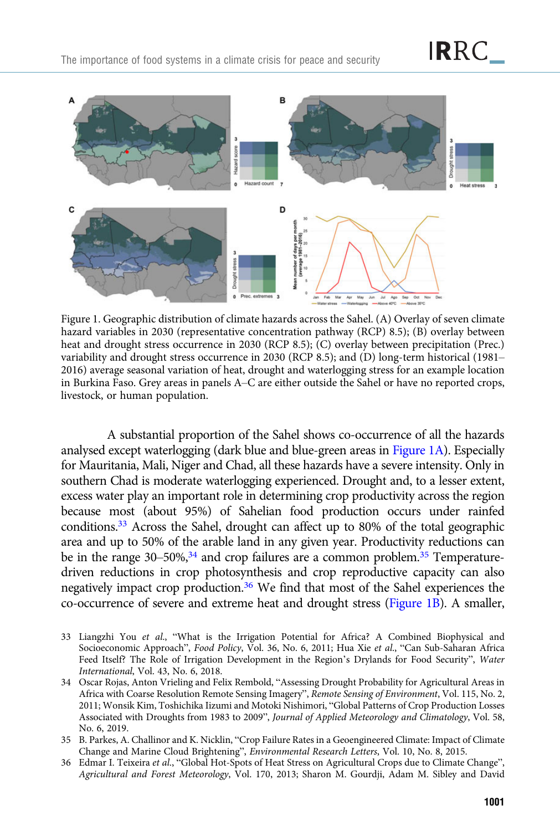<span id="page-6-0"></span>

Figure 1. Geographic distribution of climate hazards across the Sahel. (A) Overlay of seven climate hazard variables in 2030 (representative concentration pathway (RCP) 8.5); (B) overlay between heat and drought stress occurrence in 2030 (RCP 8.5); (C) overlay between precipitation (Prec.) variability and drought stress occurrence in 2030 (RCP 8.5); and (D) long-term historical (1981– 2016) average seasonal variation of heat, drought and waterlogging stress for an example location in Burkina Faso. Grey areas in panels A–C are either outside the Sahel or have no reported crops, livestock, or human population.

A substantial proportion of the Sahel shows co-occurrence of all the hazards analysed except waterlogging (dark blue and blue-green areas in Figure 1A). Especially for Mauritania, Mali, Niger and Chad, all these hazards have a severe intensity. Only in southern Chad is moderate waterlogging experienced. Drought and, to a lesser extent, excess water play an important role in determining crop productivity across the region because most (about 95%) of Sahelian food production occurs under rainfed conditions.33 Across the Sahel, drought can affect up to 80% of the total geographic area and up to 50% of the arable land in any given year. Productivity reductions can be in the range  $30-50\%,^{34}$  and crop failures are a common problem.<sup>35</sup> Temperaturedriven reductions in crop photosynthesis and crop reproductive capacity can also negatively impact crop production.<sup>36</sup> We find that most of the Sahel experiences the co-occurrence of severe and extreme heat and drought stress (Figure 1B). A smaller,

- 33 Liangzhi You et al., "What is the Irrigation Potential for Africa? A Combined Biophysical and Socioeconomic Approach", Food Policy, Vol. 36, No. 6, 2011; Hua Xie et al., "Can Sub-Saharan Africa Feed Itself? The Role of Irrigation Development in the Region's Drylands for Food Security", Water International, Vol. 43, No. 6, 2018.
- 34 Oscar Rojas, Anton Vrieling and Felix Rembold, "Assessing Drought Probability for Agricultural Areas in Africa with Coarse Resolution Remote Sensing Imagery", Remote Sensing of Environment, Vol. 115, No. 2, 2011; Wonsik Kim, Toshichika Iizumi and Motoki Nishimori, "Global Patterns of Crop Production Losses Associated with Droughts from 1983 to 2009", Journal of Applied Meteorology and Climatology, Vol. 58, No. 6, 2019.
- 35 B. Parkes, A. Challinor and K. Nicklin, "Crop Failure Rates in a Geoengineered Climate: Impact of Climate Change and Marine Cloud Brightening", Environmental Research Letters, Vol. 10, No. 8, 2015.
- 36 Edmar I. Teixeira et al., "Global Hot-Spots of Heat Stress on Agricultural Crops due to Climate Change", Agricultural and Forest Meteorology, Vol. 170, 2013; Sharon M. Gourdji, Adam M. Sibley and David

**IR**RC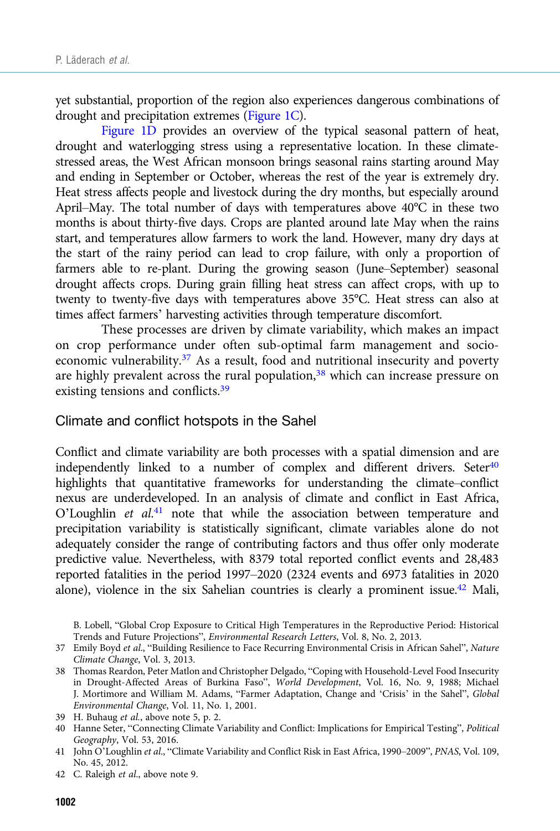yet substantial, proportion of the region also experiences dangerous combinations of drought and precipitation extremes [\(Figure 1C\)](#page-6-0).

[Figure 1D](#page-6-0) provides an overview of the typical seasonal pattern of heat, drought and waterlogging stress using a representative location. In these climatestressed areas, the West African monsoon brings seasonal rains starting around May and ending in September or October, whereas the rest of the year is extremely dry. Heat stress affects people and livestock during the dry months, but especially around April–May. The total number of days with temperatures above 40°C in these two months is about thirty-five days. Crops are planted around late May when the rains start, and temperatures allow farmers to work the land. However, many dry days at the start of the rainy period can lead to crop failure, with only a proportion of farmers able to re-plant. During the growing season (June–September) seasonal drought affects crops. During grain filling heat stress can affect crops, with up to twenty to twenty-five days with temperatures above 35°C. Heat stress can also at times affect farmers' harvesting activities through temperature discomfort.

These processes are driven by climate variability, which makes an impact on crop performance under often sub-optimal farm management and socioeconomic vulnerability.<sup>37</sup> As a result, food and nutritional insecurity and poverty are highly prevalent across the rural population,<sup>38</sup> which can increase pressure on existing tensions and conflicts.<sup>39</sup>

Climate and conflict hotspots in the Sahel

Conflict and climate variability are both processes with a spatial dimension and are independently linked to a number of complex and different drivers. Seter<sup>40</sup> highlights that quantitative frameworks for understanding the climate–conflict nexus are underdeveloped. In an analysis of climate and conflict in East Africa, O'Loughlin et al.<sup>41</sup> note that while the association between temperature and precipitation variability is statistically significant, climate variables alone do not adequately consider the range of contributing factors and thus offer only moderate predictive value. Nevertheless, with 8379 total reported conflict events and 28,483 reported fatalities in the period 1997–2020 (2324 events and 6973 fatalities in 2020 alone), violence in the six Sahelian countries is clearly a prominent issue.42 Mali,

B. Lobell, "Global Crop Exposure to Critical High Temperatures in the Reproductive Period: Historical Trends and Future Projections", Environmental Research Letters, Vol. 8, No. 2, 2013.

<sup>37</sup> Emily Boyd et al., "Building Resilience to Face Recurring Environmental Crisis in African Sahel", Nature Climate Change, Vol. 3, 2013.

<sup>38</sup> Thomas Reardon, Peter Matlon and Christopher Delgado, "Coping with Household-Level Food Insecurity in Drought-Affected Areas of Burkina Faso", World Development, Vol. 16, No. 9, 1988; Michael J. Mortimore and William M. Adams, "Farmer Adaptation, Change and 'Crisis' in the Sahel", Global Environmental Change, Vol. 11, No. 1, 2001.

<sup>39</sup> H. Buhaug et al., above note 5, p. 2.

<sup>40</sup> Hanne Seter, "Connecting Climate Variability and Conflict: Implications for Empirical Testing", Political Geography, Vol. 53, 2016.

<sup>41</sup> John O'Loughlin et al., "Climate Variability and Conflict Risk in East Africa, 1990–2009", PNAS, Vol. 109, No. 45, 2012.

<sup>42</sup> C. Raleigh et al., above note 9.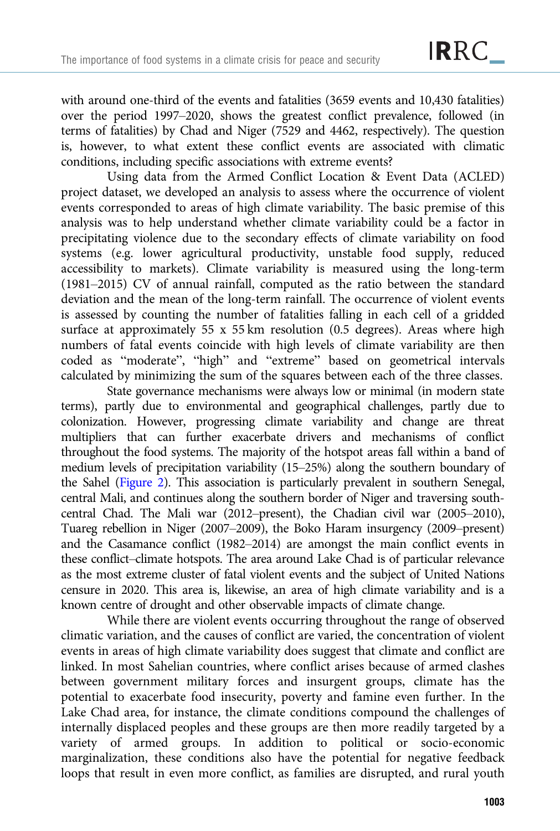with around one-third of the events and fatalities (3659 events and 10,430 fatalities) over the period 1997–2020, shows the greatest conflict prevalence, followed (in terms of fatalities) by Chad and Niger (7529 and 4462, respectively). The question is, however, to what extent these conflict events are associated with climatic conditions, including specific associations with extreme events?

Using data from the Armed Conflict Location & Event Data (ACLED) project dataset, we developed an analysis to assess where the occurrence of violent events corresponded to areas of high climate variability. The basic premise of this analysis was to help understand whether climate variability could be a factor in precipitating violence due to the secondary effects of climate variability on food systems (e.g. lower agricultural productivity, unstable food supply, reduced accessibility to markets). Climate variability is measured using the long-term (1981–2015) CV of annual rainfall, computed as the ratio between the standard deviation and the mean of the long-term rainfall. The occurrence of violent events is assessed by counting the number of fatalities falling in each cell of a gridded surface at approximately 55 x 55 km resolution (0.5 degrees). Areas where high numbers of fatal events coincide with high levels of climate variability are then coded as "moderate", "high" and "extreme" based on geometrical intervals calculated by minimizing the sum of the squares between each of the three classes.

State governance mechanisms were always low or minimal (in modern state terms), partly due to environmental and geographical challenges, partly due to colonization. However, progressing climate variability and change are threat multipliers that can further exacerbate drivers and mechanisms of conflict throughout the food systems. The majority of the hotspot areas fall within a band of medium levels of precipitation variability (15–25%) along the southern boundary of the Sahel ([Figure 2](#page-9-0)). This association is particularly prevalent in southern Senegal, central Mali, and continues along the southern border of Niger and traversing southcentral Chad. The Mali war (2012–present), the Chadian civil war (2005–2010), Tuareg rebellion in Niger (2007–2009), the Boko Haram insurgency (2009–present) and the Casamance conflict (1982–2014) are amongst the main conflict events in these conflict–climate hotspots. The area around Lake Chad is of particular relevance as the most extreme cluster of fatal violent events and the subject of United Nations censure in 2020. This area is, likewise, an area of high climate variability and is a known centre of drought and other observable impacts of climate change.

While there are violent events occurring throughout the range of observed climatic variation, and the causes of conflict are varied, the concentration of violent events in areas of high climate variability does suggest that climate and conflict are linked. In most Sahelian countries, where conflict arises because of armed clashes between government military forces and insurgent groups, climate has the potential to exacerbate food insecurity, poverty and famine even further. In the Lake Chad area, for instance, the climate conditions compound the challenges of internally displaced peoples and these groups are then more readily targeted by a variety of armed groups. In addition to political or socio-economic marginalization, these conditions also have the potential for negative feedback loops that result in even more conflict, as families are disrupted, and rural youth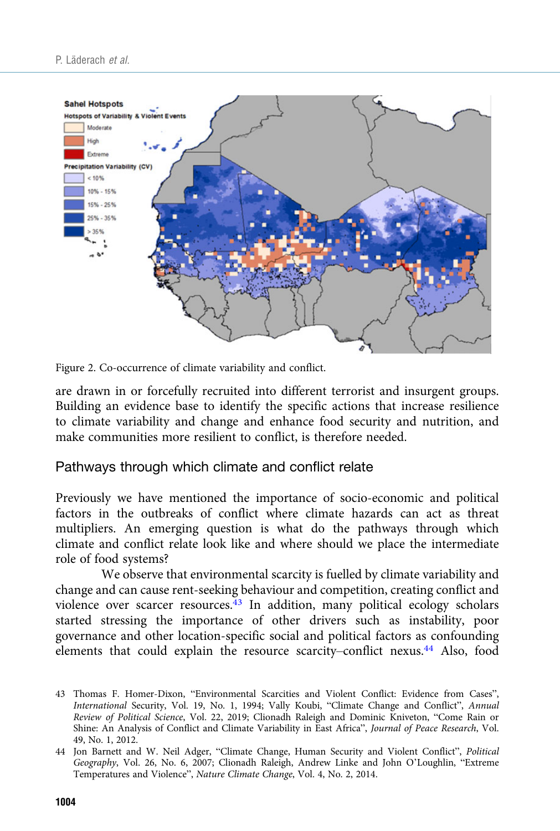<span id="page-9-0"></span>

Figure 2. Co-occurrence of climate variability and conflict.

are drawn in or forcefully recruited into different terrorist and insurgent groups. Building an evidence base to identify the specific actions that increase resilience to climate variability and change and enhance food security and nutrition, and make communities more resilient to conflict, is therefore needed.

### Pathways through which climate and conflict relate

Previously we have mentioned the importance of socio-economic and political factors in the outbreaks of conflict where climate hazards can act as threat multipliers. An emerging question is what do the pathways through which climate and conflict relate look like and where should we place the intermediate role of food systems?

We observe that environmental scarcity is fuelled by climate variability and change and can cause rent-seeking behaviour and competition, creating conflict and violence over scarcer resources.<sup>43</sup> In addition, many political ecology scholars started stressing the importance of other drivers such as instability, poor governance and other location-specific social and political factors as confounding elements that could explain the resource scarcity–conflict nexus.<sup>44</sup> Also, food

<sup>43</sup> Thomas F. Homer-Dixon, "Environmental Scarcities and Violent Conflict: Evidence from Cases", International Security, Vol. 19, No. 1, 1994; Vally Koubi, "Climate Change and Conflict", Annual Review of Political Science, Vol. 22, 2019; Clionadh Raleigh and Dominic Kniveton, "Come Rain or Shine: An Analysis of Conflict and Climate Variability in East Africa", Journal of Peace Research, Vol. 49, No. 1, 2012.

<sup>44</sup> Jon Barnett and W. Neil Adger, "Climate Change, Human Security and Violent Conflict", Political Geography, Vol. 26, No. 6, 2007; Clionadh Raleigh, Andrew Linke and John O'Loughlin, "Extreme Temperatures and Violence", Nature Climate Change, Vol. 4, No. 2, 2014.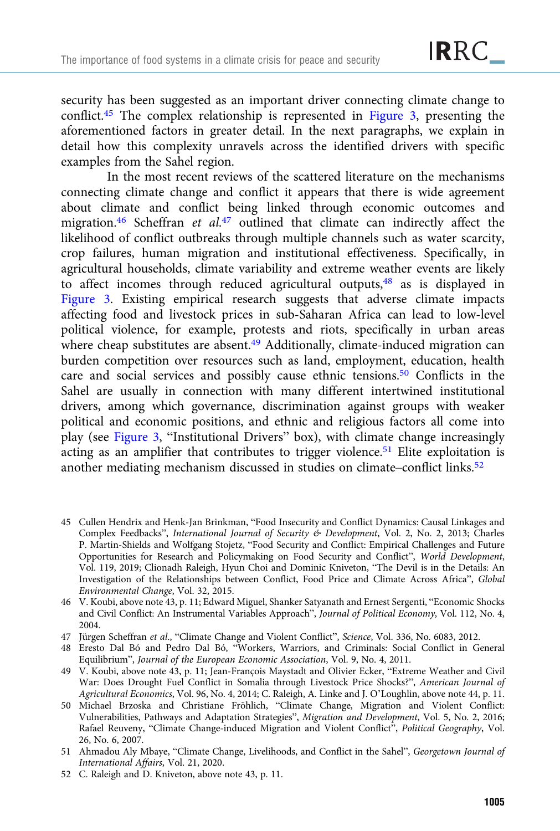security has been suggested as an important driver connecting climate change to conflict.45 The complex relationship is represented in [Figure 3](#page-11-0), presenting the aforementioned factors in greater detail. In the next paragraphs, we explain in detail how this complexity unravels across the identified drivers with specific examples from the Sahel region.

In the most recent reviews of the scattered literature on the mechanisms connecting climate change and conflict it appears that there is wide agreement about climate and conflict being linked through economic outcomes and migration.<sup>46</sup> Scheffran et al.<sup>47</sup> outlined that climate can indirectly affect the likelihood of conflict outbreaks through multiple channels such as water scarcity, crop failures, human migration and institutional effectiveness. Specifically, in agricultural households, climate variability and extreme weather events are likely to affect incomes through reduced agricultural outputs,48 as is displayed in [Figure 3](#page-11-0). Existing empirical research suggests that adverse climate impacts affecting food and livestock prices in sub-Saharan Africa can lead to low-level political violence, for example, protests and riots, specifically in urban areas where cheap substitutes are absent.<sup>49</sup> Additionally, climate-induced migration can burden competition over resources such as land, employment, education, health care and social services and possibly cause ethnic tensions.50 Conflicts in the Sahel are usually in connection with many different intertwined institutional drivers, among which governance, discrimination against groups with weaker political and economic positions, and ethnic and religious factors all come into play (see [Figure 3,](#page-11-0) "Institutional Drivers" box), with climate change increasingly acting as an amplifier that contributes to trigger violence.<sup>51</sup> Elite exploitation is another mediating mechanism discussed in studies on climate–conflict links.<sup>52</sup>

- 45 Cullen Hendrix and Henk-Jan Brinkman, "Food Insecurity and Conflict Dynamics: Causal Linkages and Complex Feedbacks", International Journal of Security & Development, Vol. 2, No. 2, 2013; Charles P. Martin-Shields and Wolfgang Stojetz, "Food Security and Conflict: Empirical Challenges and Future Opportunities for Research and Policymaking on Food Security and Conflict", World Development, Vol. 119, 2019; Clionadh Raleigh, Hyun Choi and Dominic Kniveton, "The Devil is in the Details: An Investigation of the Relationships between Conflict, Food Price and Climate Across Africa", Global Environmental Change, Vol. 32, 2015.
- 46 V. Koubi, above note 43, p. 11; Edward Miguel, Shanker Satyanath and Ernest Sergenti, "Economic Shocks and Civil Conflict: An Instrumental Variables Approach", Journal of Political Economy, Vol. 112, No. 4, 2004.
- 47 Jürgen Scheffran et al., "Climate Change and Violent Conflict", Science, Vol. 336, No. 6083, 2012.
- 48 Eresto Dal Bó and Pedro Dal Bó, "Workers, Warriors, and Criminals: Social Conflict in General Equilibrium", Journal of the European Economic Association, Vol. 9, No. 4, 2011.
- 49 V. Koubi, above note 43, p. 11; Jean-François Maystadt and Olivier Ecker, "Extreme Weather and Civil War: Does Drought Fuel Conflict in Somalia through Livestock Price Shocks?", American Journal of Agricultural Economics, Vol. 96, No. 4, 2014; C. Raleigh, A. Linke and J. O'Loughlin, above note 44, p. 11.
- 50 Michael Brzoska and Christiane Fröhlich, "Climate Change, Migration and Violent Conflict: Vulnerabilities, Pathways and Adaptation Strategies", Migration and Development, Vol. 5, No. 2, 2016; Rafael Reuveny, "Climate Change-induced Migration and Violent Conflict", Political Geography, Vol. 26, No. 6, 2007.
- 51 Ahmadou Aly Mbaye, "Climate Change, Livelihoods, and Conflict in the Sahel", Georgetown Journal of International Affairs, Vol. 21, 2020.
- 52 C. Raleigh and D. Kniveton, above note 43, p. 11.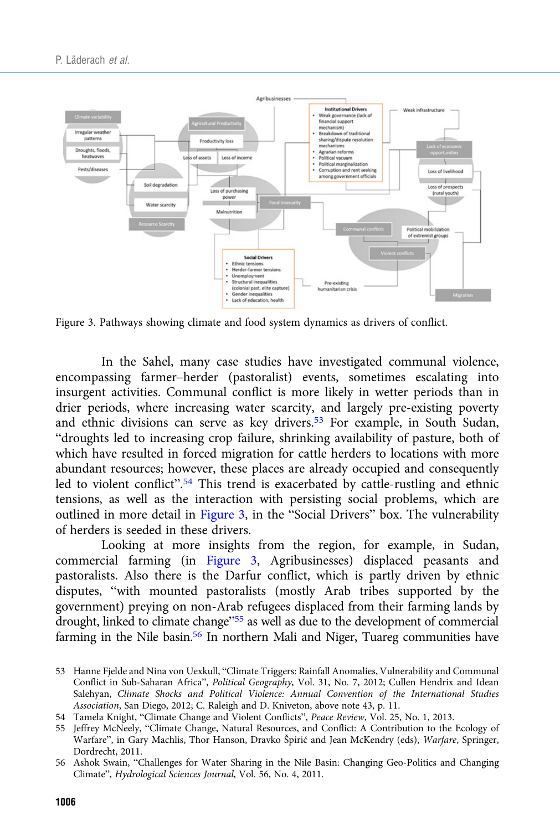<span id="page-11-0"></span>

Figure 3. Pathways showing climate and food system dynamics as drivers of conflict.

In the Sahel, many case studies have investigated communal violence, encompassing farmer–herder (pastoralist) events, sometimes escalating into insurgent activities. Communal conflict is more likely in wetter periods than in drier periods, where increasing water scarcity, and largely pre-existing poverty and ethnic divisions can serve as key drivers.<sup>53</sup> For example, in South Sudan, "droughts led to increasing crop failure, shrinking availability of pasture, both of which have resulted in forced migration for cattle herders to locations with more abundant resources; however, these places are already occupied and consequently led to violent conflict".<sup>54</sup> This trend is exacerbated by cattle-rustling and ethnic tensions, as well as the interaction with persisting social problems, which are outlined in more detail in Figure 3, in the "Social Drivers" box. The vulnerability of herders is seeded in these drivers.

Looking at more insights from the region, for example, in Sudan, commercial farming (in Figure 3, Agribusinesses) displaced peasants and pastoralists. Also there is the Darfur conflict, which is partly driven by ethnic disputes, "with mounted pastoralists (mostly Arab tribes supported by the government) preying on non-Arab refugees displaced from their farming lands by drought, linked to climate change"<sup>55</sup> as well as due to the development of commercial farming in the Nile basin.<sup>56</sup> In northern Mali and Niger, Tuareg communities have

<sup>53</sup> Hanne Fjelde and Nina von Uexkull, "Climate Triggers: Rainfall Anomalies, Vulnerability and Communal Conflict in Sub-Saharan Africa", Political Geography, Vol. 31, No. 7, 2012; Cullen Hendrix and Idean Salehyan, Climate Shocks and Political Violence: Annual Convention of the International Studies Association, San Diego, 2012; C. Raleigh and D. Kniveton, above note 43, p. 11.

<sup>54</sup> Tamela Knight, "Climate Change and Violent Conflicts", Peace Review, Vol. 25, No. 1, 2013.

<sup>55</sup> Jeffrey McNeely, "Climate Change, Natural Resources, and Conflict: A Contribution to the Ecology of Warfare", in Gary Machlis, Thor Hanson, Dravko Špirić and Jean McKendry (eds), Warfare, Springer, Dordrecht, 2011.

<sup>56</sup> Ashok Swain, "Challenges for Water Sharing in the Nile Basin: Changing Geo-Politics and Changing Climate", Hydrological Sciences Journal, Vol. 56, No. 4, 2011.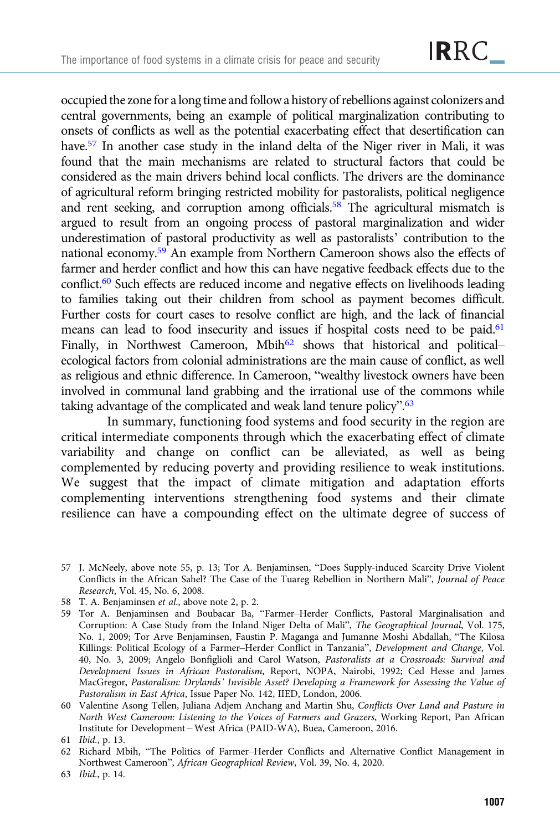occupied the zonefor a long time andfollow a history of rebellions against colonizers and central governments, being an example of political marginalization contributing to onsets of conflicts as well as the potential exacerbating effect that desertification can have.<sup>57</sup> In another case study in the inland delta of the Niger river in Mali, it was found that the main mechanisms are related to structural factors that could be considered as the main drivers behind local conflicts. The drivers are the dominance of agricultural reform bringing restricted mobility for pastoralists, political negligence and rent seeking, and corruption among officials.<sup>58</sup> The agricultural mismatch is argued to result from an ongoing process of pastoral marginalization and wider underestimation of pastoral productivity as well as pastoralists' contribution to the national economy.59 An example from Northern Cameroon shows also the effects of farmer and herder conflict and how this can have negative feedback effects due to the conflict.<sup>60</sup> Such effects are reduced income and negative effects on livelihoods leading to families taking out their children from school as payment becomes difficult. Further costs for court cases to resolve conflict are high, and the lack of financial means can lead to food insecurity and issues if hospital costs need to be paid.<sup>61</sup> Finally, in Northwest Cameroon, Mbih<sup>62</sup> shows that historical and political– ecological factors from colonial administrations are the main cause of conflict, as well as religious and ethnic difference. In Cameroon, "wealthy livestock owners have been involved in communal land grabbing and the irrational use of the commons while taking advantage of the complicated and weak land tenure policy".<sup>63</sup>

In summary, functioning food systems and food security in the region are critical intermediate components through which the exacerbating effect of climate variability and change on conflict can be alleviated, as well as being complemented by reducing poverty and providing resilience to weak institutions. We suggest that the impact of climate mitigation and adaptation efforts complementing interventions strengthening food systems and their climate resilience can have a compounding effect on the ultimate degree of success of

- 57 J. McNeely, above note 55, p. 13; Tor A. Benjaminsen, "Does Supply-induced Scarcity Drive Violent Conflicts in the African Sahel? The Case of the Tuareg Rebellion in Northern Mali", Journal of Peace Research, Vol. 45, No. 6, 2008.
- 58 T. A. Benjaminsen et al., above note 2, p. 2.
- 59 Tor A. Benjaminsen and Boubacar Ba, "Farmer–Herder Conflicts, Pastoral Marginalisation and Corruption: A Case Study from the Inland Niger Delta of Mali", The Geographical Journal, Vol. 175, No. 1, 2009; Tor Arve Benjaminsen, Faustin P. Maganga and Jumanne Moshi Abdallah, "The Kilosa Killings: Political Ecology of a Farmer–Herder Conflict in Tanzania", Development and Change, Vol. 40, No. 3, 2009; Angelo Bonfiglioli and Carol Watson, Pastoralists at a Crossroads: Survival and Development Issues in African Pastoralism, Report, NOPA, Nairobi, 1992; Ced Hesse and James MacGregor, Pastoralism: Drylands' Invisible Asset? Developing a Framework for Assessing the Value of Pastoralism in East Africa, Issue Paper No. 142, IIED, London, 2006.
- 60 Valentine Asong Tellen, Juliana Adjem Anchang and Martin Shu, Conflicts Over Land and Pasture in North West Cameroon: Listening to the Voices of Farmers and Grazers, Working Report, Pan African Institute for Development – West Africa (PAID-WA), Buea, Cameroon, 2016.

- 62 Richard Mbih, "The Politics of Farmer–Herder Conflicts and Alternative Conflict Management in Northwest Cameroon", African Geographical Review, Vol. 39, No. 4, 2020.
- 63 Ibid., p. 14.

<sup>61</sup> Ibid., p. 13.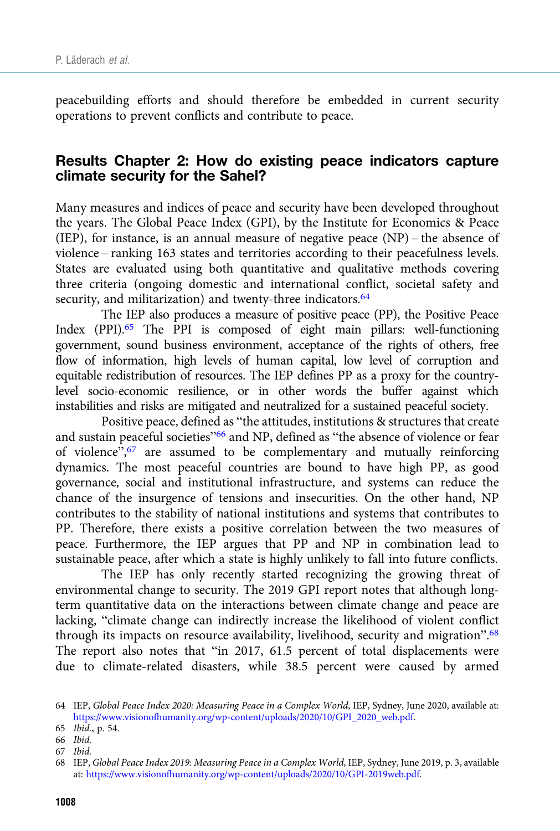peacebuilding efforts and should therefore be embedded in current security operations to prevent conflicts and contribute to peace.

# Results Chapter 2: How do existing peace indicators capture climate security for the Sahel?

Many measures and indices of peace and security have been developed throughout the years. The Global Peace Index (GPI), by the Institute for Economics & Peace (IEP), for instance, is an annual measure of negative peace (NP) – the absence of violence – ranking 163 states and territories according to their peacefulness levels. States are evaluated using both quantitative and qualitative methods covering three criteria (ongoing domestic and international conflict, societal safety and security, and militarization) and twenty-three indicators.<sup>64</sup>

The IEP also produces a measure of positive peace (PP), the Positive Peace Index (PPI).65 The PPI is composed of eight main pillars: well-functioning government, sound business environment, acceptance of the rights of others, free flow of information, high levels of human capital, low level of corruption and equitable redistribution of resources. The IEP defines PP as a proxy for the countrylevel socio-economic resilience, or in other words the buffer against which instabilities and risks are mitigated and neutralized for a sustained peaceful society.

Positive peace, defined as "the attitudes, institutions & structures that create and sustain peaceful societies"<sup>66</sup> and NP, defined as "the absence of violence or fear of violence", <sup>67</sup> are assumed to be complementary and mutually reinforcing dynamics. The most peaceful countries are bound to have high PP, as good governance, social and institutional infrastructure, and systems can reduce the chance of the insurgence of tensions and insecurities. On the other hand, NP contributes to the stability of national institutions and systems that contributes to PP. Therefore, there exists a positive correlation between the two measures of peace. Furthermore, the IEP argues that PP and NP in combination lead to sustainable peace, after which a state is highly unlikely to fall into future conflicts.

The IEP has only recently started recognizing the growing threat of environmental change to security. The 2019 GPI report notes that although longterm quantitative data on the interactions between climate change and peace are lacking, "climate change can indirectly increase the likelihood of violent conflict through its impacts on resource availability, livelihood, security and migration".<sup>68</sup> The report also notes that "in 2017, 61.5 percent of total displacements were due to climate-related disasters, while 38.5 percent were caused by armed

66 Ibid.

<sup>64</sup> IEP, Global Peace Index 2020: Measuring Peace in a Complex World, IEP, Sydney, June 2020, available at: [https://www.visionofhumanity.org/wp-content/uploads/2020/10/GPI\\_2020\\_web.pdf](https://www.visionofhumanity.org/wp-content/uploads/2020/10/GPI_2020_web.pdf).

<sup>65</sup> Ibid., p. 54.

<sup>67</sup> Ibid.

<sup>68</sup> IEP, Global Peace Index 2019: Measuring Peace in a Complex World, IEP, Sydney, June 2019, p. 3, available at: <https://www.visionofhumanity.org/wp-content/uploads/2020/10/GPI-2019web.pdf>.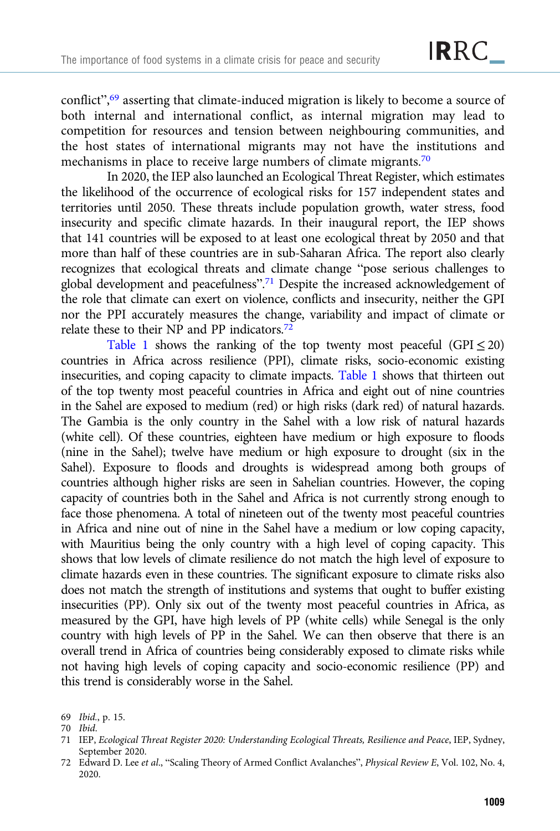conflict",<sup>69</sup> asserting that climate-induced migration is likely to become a source of both internal and international conflict, as internal migration may lead to competition for resources and tension between neighbouring communities, and the host states of international migrants may not have the institutions and mechanisms in place to receive large numbers of climate migrants.<sup>70</sup>

In 2020, the IEP also launched an Ecological Threat Register, which estimates the likelihood of the occurrence of ecological risks for 157 independent states and territories until 2050. These threats include population growth, water stress, food insecurity and specific climate hazards. In their inaugural report, the IEP shows that 141 countries will be exposed to at least one ecological threat by 2050 and that more than half of these countries are in sub-Saharan Africa. The report also clearly recognizes that ecological threats and climate change "pose serious challenges to global development and peacefulness". <sup>71</sup> Despite the increased acknowledgement of the role that climate can exert on violence, conflicts and insecurity, neither the GPI nor the PPI accurately measures the change, variability and impact of climate or relate these to their NP and PP indicators.72

[Table 1](#page-15-0) shows the ranking of the top twenty most peaceful (GPI  $\leq$  20) countries in Africa across resilience (PPI), climate risks, socio-economic existing insecurities, and coping capacity to climate impacts. [Table 1](#page-15-0) shows that thirteen out of the top twenty most peaceful countries in Africa and eight out of nine countries in the Sahel are exposed to medium (red) or high risks (dark red) of natural hazards. The Gambia is the only country in the Sahel with a low risk of natural hazards (white cell). Of these countries, eighteen have medium or high exposure to floods (nine in the Sahel); twelve have medium or high exposure to drought (six in the Sahel). Exposure to floods and droughts is widespread among both groups of countries although higher risks are seen in Sahelian countries. However, the coping capacity of countries both in the Sahel and Africa is not currently strong enough to face those phenomena. A total of nineteen out of the twenty most peaceful countries in Africa and nine out of nine in the Sahel have a medium or low coping capacity, with Mauritius being the only country with a high level of coping capacity. This shows that low levels of climate resilience do not match the high level of exposure to climate hazards even in these countries. The significant exposure to climate risks also does not match the strength of institutions and systems that ought to buffer existing insecurities (PP). Only six out of the twenty most peaceful countries in Africa, as measured by the GPI, have high levels of PP (white cells) while Senegal is the only country with high levels of PP in the Sahel. We can then observe that there is an overall trend in Africa of countries being considerably exposed to climate risks while not having high levels of coping capacity and socio-economic resilience (PP) and this trend is considerably worse in the Sahel.

<sup>69</sup> Ibid., p. 15.

<sup>70</sup> Ibid.

<sup>71</sup> IEP, Ecological Threat Register 2020: Understanding Ecological Threats, Resilience and Peace, IEP, Sydney, September 2020.

<sup>72</sup> Edward D. Lee et al., "Scaling Theory of Armed Conflict Avalanches", Physical Review E, Vol. 102, No. 4, 2020.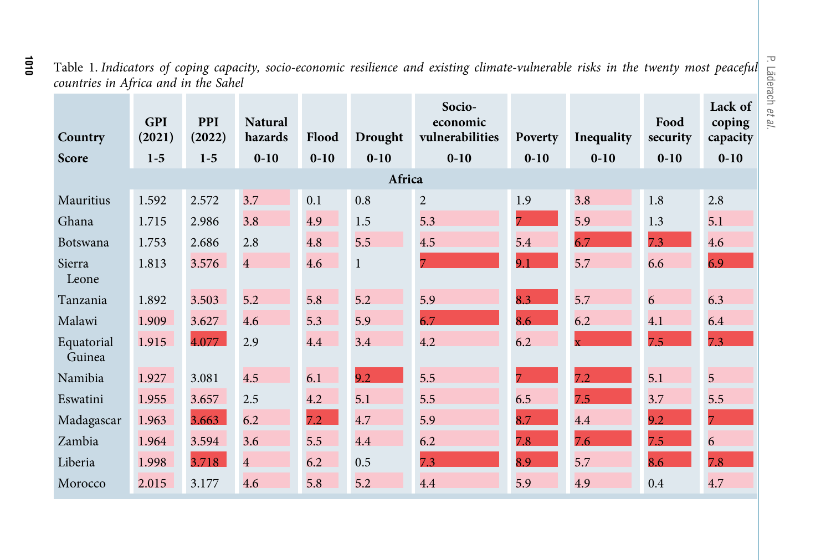| Table 1. Indicators of coping capacity, socio-economic resilience and existing climate-vulnerable risks in the twenty most peaceful |  |  |  |  |
|-------------------------------------------------------------------------------------------------------------------------------------|--|--|--|--|
| countries in Africa and in the Sahel                                                                                                |  |  |  |  |

P. Läderach

et al.

| Country              | <b>GPI</b><br>(2021) | <b>PPI</b><br>(2022) | <b>Natural</b><br>hazards | Flood    | Drought      | Socio-<br>economic<br>vulnerabilities | Poverty        | Inequality              | Food<br>security | Lack of<br>coping<br>capacity |
|----------------------|----------------------|----------------------|---------------------------|----------|--------------|---------------------------------------|----------------|-------------------------|------------------|-------------------------------|
| Score                | $1-5$                | $1-5$                | $0 - 10$                  | $0 - 10$ | $0 - 10$     | $0 - 10$                              | $0 - 10$       | $0 - 10$                | $0 - 10$         | $0 - 10$                      |
| Africa               |                      |                      |                           |          |              |                                       |                |                         |                  |                               |
| Mauritius            | 1.592                | 2.572                | 3.7                       | 0.1      | 0.8          | $\overline{2}$                        | 1.9            | 3.8                     | 1.8              | 2.8                           |
| Ghana                | 1.715                | 2.986                | 3.8                       | 4.9      | $1.5\,$      | 5.3                                   | $\overline{7}$ | 5.9                     | 1.3              | 5.1                           |
| Botswana             | 1.753                | 2.686                | 2.8                       | 4.8      | 5.5          | 4.5                                   | 5.4            | 6.7                     | 7.3              | 4.6                           |
| Sierra<br>Leone      | 1.813                | 3.576                | $\overline{4}$            | 4.6      | $\mathbf{1}$ | 7                                     | 9.1            | 5.7                     | 6.6              | 6.9                           |
| Tanzania             | 1.892                | 3.503                | 5.2                       | 5.8      | 5.2          | 5.9                                   | 8.3            | 5.7                     | 6                | 6.3                           |
| Malawi               | 1.909                | 3.627                | 4.6                       | 5.3      | 5.9          | 6.7                                   | 8.6            | 6.2                     | 4.1              | 6.4                           |
| Equatorial<br>Guinea | 1.915                | 4.077                | 2.9                       | 4.4      | 3.4          | 4.2                                   | 6.2            | $\overline{\mathbf{x}}$ | 7.5              | 7.3                           |
| Namibia              | 1.927                | 3.081                | 4.5                       | 6.1      | 9.2          | 5.5                                   | $\overline{7}$ | 7.2                     | 5.1              | $\overline{5}$                |
| Eswatini             | 1.955                | 3.657                | 2.5                       | 4.2      | 5.1          | 5.5                                   | 6.5            | 7.5                     | 3.7              | 5.5                           |
| Madagascar           | 1.963                | 3.663                | 6.2                       | 7.2      | 4.7          | 5.9                                   | 8.7            | 4.4                     | 9.2              | $\overline{7}$                |
| Zambia               | 1.964                | 3.594                | 3.6                       | 5.5      | 4.4          | 6.2                                   | 7.8            | 7.6                     | 7.5              | 6                             |
| Liberia              | 1.998                | 3.718                | $\overline{4}$            | 6.2      | 0.5          | 7.3                                   | 8.9            | 5.7                     | 8.6              | 7.8                           |
| Morocco              | 2.015                | 3.177                | 4.6                       | 5.8      | 5.2          | 4.4                                   | 5.9            | 4.9                     | 0.4              | 4.7                           |

<span id="page-15-0"></span>1010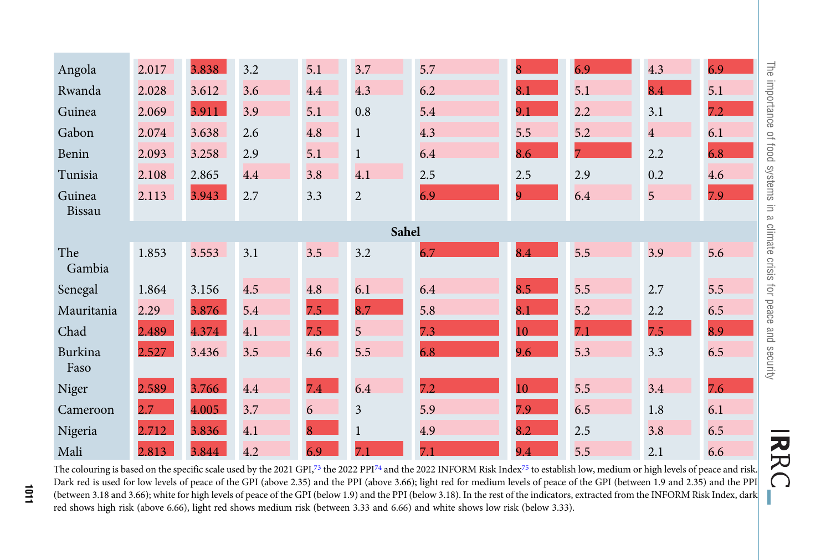| Angola                                                                                                                                                                                                                                                                                                                                                                     | 2.017 | 3.838 | 3.2 | 5.1 | 3.7            | 5.7 |     | 6.9            | 4.3            | <b>The</b><br>6.9  |
|----------------------------------------------------------------------------------------------------------------------------------------------------------------------------------------------------------------------------------------------------------------------------------------------------------------------------------------------------------------------------|-------|-------|-----|-----|----------------|-----|-----|----------------|----------------|--------------------|
| Rwanda                                                                                                                                                                                                                                                                                                                                                                     | 2.028 | 3.612 | 3.6 | 4.4 | 4.3            | 6.2 | 8.1 | 5.1            | 8.4            | importance<br>5.1  |
| Guinea                                                                                                                                                                                                                                                                                                                                                                     | 2.069 | 3.911 | 3.9 | 5.1 | 0.8            | 5.4 | 9.1 | 2.2            | 3.1            | 7.2                |
| Gabon                                                                                                                                                                                                                                                                                                                                                                      | 2.074 | 3.638 | 2.6 | 4.8 | 1              | 4.3 | 5.5 | 5.2            | $\overline{4}$ | 6.1<br>$\supseteq$ |
| Benin                                                                                                                                                                                                                                                                                                                                                                      | 2.093 | 3.258 | 2.9 | 5.1 | 1              | 6.4 | 8.6 | $\overline{7}$ | 2.2            | poo1<br>6.8        |
| Tunisia                                                                                                                                                                                                                                                                                                                                                                    | 2.108 | 2.865 | 4.4 | 3.8 | 4.1            | 2.5 | 2.5 | 2.9            | 0.2            | systems<br>4.6     |
| Guinea<br><b>Bissau</b>                                                                                                                                                                                                                                                                                                                                                    | 2.113 | 3.943 | 2.7 | 3.3 | $\overline{2}$ | 6.9 | 9   | 6.4            | 5              | 7.9<br>$\equiv$    |
| B<br>climate<br>Sahel                                                                                                                                                                                                                                                                                                                                                      |       |       |     |     |                |     |     |                |                |                    |
| The<br>Gambia                                                                                                                                                                                                                                                                                                                                                              | 1.853 | 3.553 | 3.1 | 3.5 | 3.2            | 6.7 | 8.4 | 5.5            | 3.9            | 5.6<br>crisis      |
| Senegal                                                                                                                                                                                                                                                                                                                                                                    | 1.864 | 3.156 | 4.5 | 4.8 | 6.1            | 6.4 | 8.5 | 5.5            | 2.7            | ióľ<br>5.5         |
| Mauritania                                                                                                                                                                                                                                                                                                                                                                 | 2.29  | 3.876 | 5.4 | 7.5 | 8.7            | 5.8 | 8.1 | 5.2            | 2.2            | peace<br>6.5       |
| Chad                                                                                                                                                                                                                                                                                                                                                                       | 2.489 | 4.374 | 4.1 | 7.5 | 5              | 7.3 | 10  | 7.1            | 7.5            | 8.9<br>and         |
| Burkina<br>Faso                                                                                                                                                                                                                                                                                                                                                            | 2.527 | 3.436 | 3.5 | 4.6 | 5.5            | 6.8 | 9.6 | 5.3            | 3.3            | security<br>6.5    |
| Niger                                                                                                                                                                                                                                                                                                                                                                      | 2.589 | 3.766 | 4.4 | 74  | 6.4            | 7.2 | 10  | 5.5            | 3.4            | 7.6                |
| Cameroon                                                                                                                                                                                                                                                                                                                                                                   | 2.7   | 4.005 | 3.7 | 6   | 3              | 5.9 | 7.9 | 6.5            | 1.8            | 6.1                |
| Nigeria                                                                                                                                                                                                                                                                                                                                                                    | 2.712 | 3.836 | 4.1 | 8   |                | 4.9 | 8.2 | 2.5            | 3.8            | 6.5                |
| Mali                                                                                                                                                                                                                                                                                                                                                                       | 2.813 | 3.844 | 4.2 | 6.9 | 7.1            | 7.1 | 9.4 | 5.5            | 2.1            | 6.6                |
| R<br>The colouring is based on the specific scale used by the 2021 GPI,73 the 2022 PPI74 and the 2022 INFORM Risk Index75 to establish low, medium or high levels of peace and risk.<br>⌒<br>Dark red is used for low levels of peace of the GPI (above 2.35) and the PPI (above 3.66); light red for medium levels of peace of the GPI (between 1.9 and 2.35) and the PPI |       |       |     |     |                |     |     |                |                |                    |

The colouring is based on the specific scale used by the 2021 GPI,<sup>73</sup> the 2022 PPI<sup>[74](#page-17-0)</sup> and the 2022 INFORM Risk Index<sup>75</sup> to establish low, medium or high levels of peace and risk. Dark red is used for low levels of peace of the GPI (above 2.35) and the PPI (above 3.66); light red for medium levels of peace of the GPI (between 1.9 and 2.35) and the PPI (between 3.18 and 3.66); white for high levels of peace of the GPI (below 1.9) and the PPI (below 3.18). In the rest of the indicators, extracted from the INFORM Risk Index, dark red shows high risk (above 6.66), light red shows medium risk (between 3.33 and 6.66) and white shows low risk (below 3.33).

1011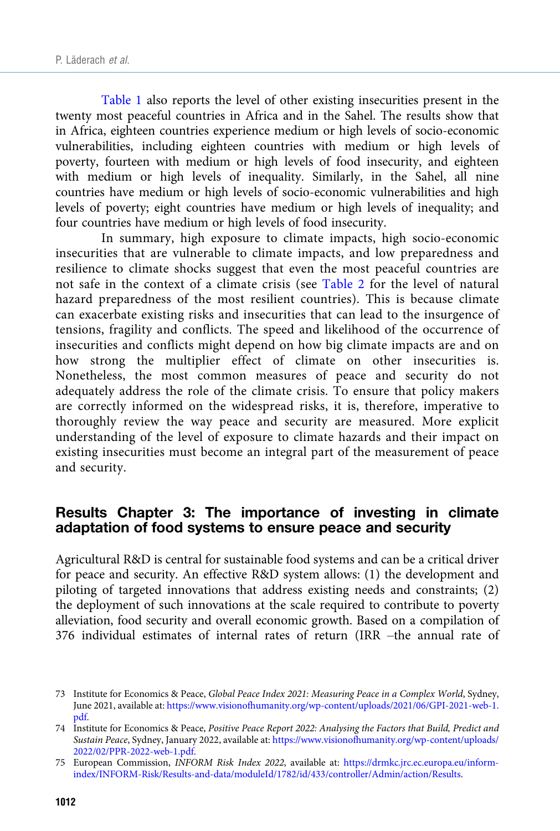<span id="page-17-0"></span>[Table 1](#page-15-0) also reports the level of other existing insecurities present in the twenty most peaceful countries in Africa and in the Sahel. The results show that in Africa, eighteen countries experience medium or high levels of socio-economic vulnerabilities, including eighteen countries with medium or high levels of poverty, fourteen with medium or high levels of food insecurity, and eighteen with medium or high levels of inequality. Similarly, in the Sahel, all nine countries have medium or high levels of socio-economic vulnerabilities and high levels of poverty; eight countries have medium or high levels of inequality; and four countries have medium or high levels of food insecurity.

In summary, high exposure to climate impacts, high socio-economic insecurities that are vulnerable to climate impacts, and low preparedness and resilience to climate shocks suggest that even the most peaceful countries are not safe in the context of a climate crisis (see [Table 2](#page-18-0) for the level of natural hazard preparedness of the most resilient countries). This is because climate can exacerbate existing risks and insecurities that can lead to the insurgence of tensions, fragility and conflicts. The speed and likelihood of the occurrence of insecurities and conflicts might depend on how big climate impacts are and on how strong the multiplier effect of climate on other insecurities is. Nonetheless, the most common measures of peace and security do not adequately address the role of the climate crisis. To ensure that policy makers are correctly informed on the widespread risks, it is, therefore, imperative to thoroughly review the way peace and security are measured. More explicit understanding of the level of exposure to climate hazards and their impact on existing insecurities must become an integral part of the measurement of peace and security.

# Results Chapter 3: The importance of investing in climate adaptation of food systems to ensure peace and security

Agricultural R&D is central for sustainable food systems and can be a critical driver for peace and security. An effective R&D system allows: (1) the development and piloting of targeted innovations that address existing needs and constraints; (2) the deployment of such innovations at the scale required to contribute to poverty alleviation, food security and overall economic growth. Based on a compilation of 376 individual estimates of internal rates of return (IRR –the annual rate of

<sup>73</sup> Institute for Economics & Peace, Global Peace Index 2021: Measuring Peace in a Complex World, Sydney, June 2021, available at: [https://www.visionofhumanity.org/wp-content/uploads/2021/06/GPI-2021-web-1.](https://www.visionofhumanity.org/wp-content/uploads/2021/06/GPI-2021-web-1.pdf) [pdf](https://www.visionofhumanity.org/wp-content/uploads/2021/06/GPI-2021-web-1.pdf).

<sup>74</sup> Institute for Economics & Peace, Positive Peace Report 2022: Analysing the Factors that Build, Predict and Sustain Peace, Sydney, January 2022, available at: [https://www.visionofhumanity.org/wp-content/uploads/](https://www.visionofhumanity.org/wp-content/uploads/2022/02/PPR-2022-web-1.pdf) [2022/02/PPR-2022-web-1.pdf](https://www.visionofhumanity.org/wp-content/uploads/2022/02/PPR-2022-web-1.pdf).

<sup>75</sup> European Commission, INFORM Risk Index 2022, available at: [https://drmkc.jrc.ec.europa.eu/inform](https://drmkc.jrc.ec.europa.eu/inform-index/INFORM-Risk/Results-and-data/moduleId/1782/id/433/controller/Admin/action/Results)[index/INFORM-Risk/Results-and-data/moduleId/1782/id/433/controller/Admin/action/Results.](https://drmkc.jrc.ec.europa.eu/inform-index/INFORM-Risk/Results-and-data/moduleId/1782/id/433/controller/Admin/action/Results)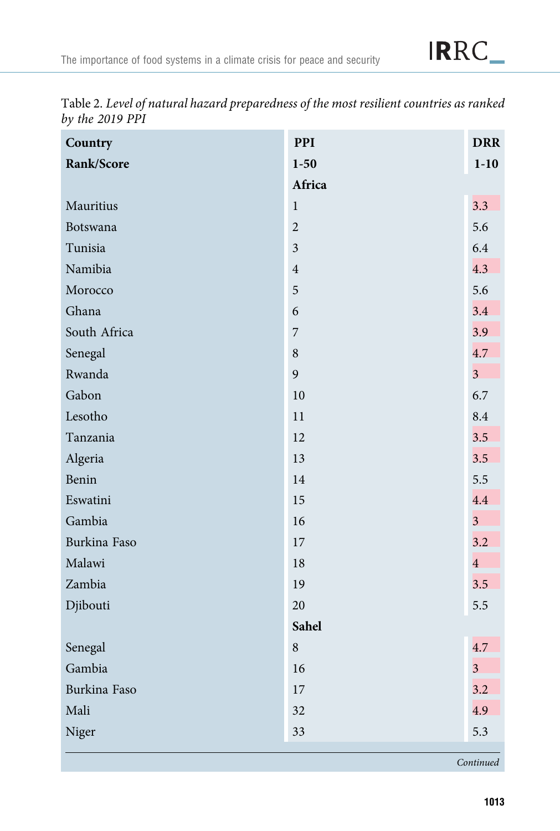| Country      | PPI                      | <b>DRR</b>     |
|--------------|--------------------------|----------------|
| Rank/Score   | $1 - 50$                 | $1 - 10$       |
|              | Africa                   |                |
| Mauritius    | $\mathbf 1$              | 3.3            |
| Botswana     | $\overline{2}$           | 5.6            |
| Tunisia      | $\mathfrak{Z}$           | 6.4            |
| Namibia      | $\overline{4}$           | 4.3            |
| Morocco      | 5                        | 5.6            |
| Ghana        | 6                        | 3.4            |
| South Africa | $\overline{\phantom{a}}$ | 3.9            |
| Senegal      | $\,8\,$                  | 4.7            |
| Rwanda       | 9                        | 3 <sup>1</sup> |
| Gabon        | 10                       | 6.7            |
| Lesotho      | 11                       | 8.4            |
| Tanzania     | 12                       | 3.5            |
| Algeria      | 13                       | 3.5            |
| Benin        | 14                       | 5.5            |
| Eswatini     | 15                       | 4.4            |
| Gambia       | 16                       | $\overline{3}$ |
| Burkina Faso | 17                       | 3.2            |
| Malawi       | 18                       | $\overline{4}$ |
| Zambia       | 19                       | 3.5            |
| Djibouti     | 20                       | 5.5            |
|              | Sahel                    |                |
| Senegal      | $\,8\,$                  | 4.7            |
| Gambia       | 16                       | $\overline{3}$ |
| Burkina Faso | 17                       | 3.2            |
| Mali         | 32                       | 4.9            |
| Niger        | 33                       | 5.3            |

<span id="page-18-0"></span>Table 2. Level of natural hazard preparedness of the most resilient countries as ranked by the  $2019$   $\overrightarrow{PPI}$ 

Continued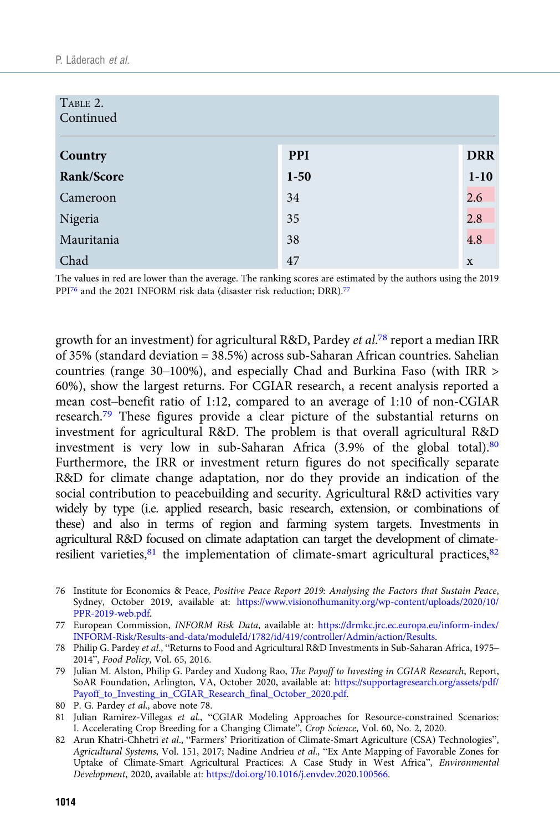| TABLE 2.<br>Continued |            |             |  |  |  |
|-----------------------|------------|-------------|--|--|--|
| Country               | <b>PPI</b> | <b>DRR</b>  |  |  |  |
| Rank/Score            | $1 - 50$   | $1-10$      |  |  |  |
| Cameroon              | 34         | 2.6         |  |  |  |
| Nigeria               | 35         | 2.8         |  |  |  |
| Mauritania            | 38         | 4.8         |  |  |  |
| Chad                  | 47         | $\mathbf x$ |  |  |  |

The values in red are lower than the average. The ranking scores are estimated by the authors using the 2019 PPI<sup>76</sup> and the 2021 INFORM risk data (disaster risk reduction; DRR).<sup>77</sup>

growth for an investment) for agricultural R&D, Pardey et al.<sup>78</sup> report a median IRR of 35% (standard deviation = 38.5%) across sub-Saharan African countries. Sahelian countries (range 30–100%), and especially Chad and Burkina Faso (with IRR > 60%), show the largest returns. For CGIAR research, a recent analysis reported a mean cost–benefit ratio of 1:12, compared to an average of 1:10 of non-CGIAR research.79 These figures provide a clear picture of the substantial returns on investment for agricultural R&D. The problem is that overall agricultural R&D investment is very low in sub-Saharan Africa (3.9% of the global total).80 Furthermore, the IRR or investment return figures do not specifically separate R&D for climate change adaptation, nor do they provide an indication of the social contribution to peacebuilding and security. Agricultural R&D activities vary widely by type (i.e. applied research, basic research, extension, or combinations of these) and also in terms of region and farming system targets. Investments in agricultural R&D focused on climate adaptation can target the development of climateresilient varieties, $81$  the implementation of climate-smart agricultural practices,  $82$ 

- 76 Institute for Economics & Peace, Positive Peace Report 2019: Analysing the Factors that Sustain Peace, Sydney, October 2019, available at: [https://www.visionofhumanity.org/wp-content/uploads/2020/10/](https://www.visionofhumanity.org/wp-content/uploads/2020/10/PPR-2019-web.pdf) [PPR-2019-web.pdf](https://www.visionofhumanity.org/wp-content/uploads/2020/10/PPR-2019-web.pdf).
- 77 European Commission, INFORM Risk Data, available at: [https://drmkc.jrc.ec.europa.eu/inform-index/](https://drmkc.jrc.ec.europa.eu/inform-index/INFORM-Risk/Results-and-data/moduleId/1782/id/419/controller/Admin/action/Results) [INFORM-Risk/Results-and-data/moduleId/1782/id/419/controller/Admin/action/Results](https://drmkc.jrc.ec.europa.eu/inform-index/INFORM-Risk/Results-and-data/moduleId/1782/id/419/controller/Admin/action/Results).
- 78 Philip G. Pardey et al., "Returns to Food and Agricultural R&D Investments in Sub-Saharan Africa, 1975– 2014", Food Policy, Vol. 65, 2016.
- 79 Julian M. Alston, Philip G. Pardey and Xudong Rao, The Payoff to Investing in CGIAR Research, Report, SoAR Foundation, Arlington, VA, October 2020, available at: [https://supportagresearch.org/assets/pdf/](https://supportagresearch.org/assets/pdf/Payoff_to_Investing_in_CGIAR_Research_final_October_2020.pdf) [Payoff\\_to\\_Investing\\_in\\_CGIAR\\_Research\\_final\\_October\\_2020.pdf.](https://supportagresearch.org/assets/pdf/Payoff_to_Investing_in_CGIAR_Research_final_October_2020.pdf)
- 80 P. G. Pardey et al., above note 78.
- 81 Julian Ramirez-Villegas et al., "CGIAR Modeling Approaches for Resource-constrained Scenarios: I. Accelerating Crop Breeding for a Changing Climate", Crop Science, Vol. 60, No. 2, 2020.
- 82 Arun Khatri-Chhetri et al., "Farmers' Prioritization of Climate-Smart Agriculture (CSA) Technologies", Agricultural Systems, Vol. 151, 2017; Nadine Andrieu et al., "Ex Ante Mapping of Favorable Zones for Uptake of Climate-Smart Agricultural Practices: A Case Study in West Africa", Environmental Development, 2020, available at: <https://doi.org/10.1016/j.envdev.2020.100566>.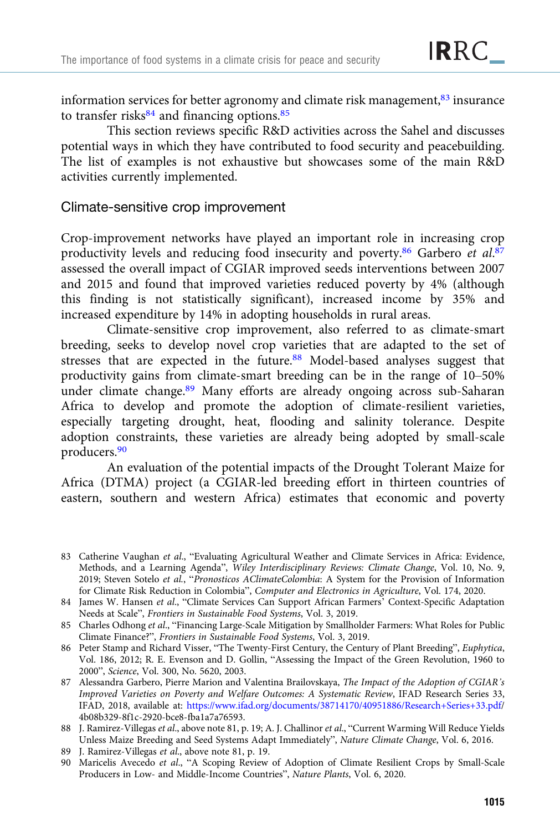information services for better agronomy and climate risk management, $83$  insurance to transfer risks $84$  and financing options. $85$ 

This section reviews specific R&D activities across the Sahel and discusses potential ways in which they have contributed to food security and peacebuilding. The list of examples is not exhaustive but showcases some of the main R&D activities currently implemented.

#### Climate-sensitive crop improvement

Crop-improvement networks have played an important role in increasing crop productivity levels and reducing food insecurity and poverty.<sup>86</sup> Garbero et al.<sup>87</sup> assessed the overall impact of CGIAR improved seeds interventions between 2007 and 2015 and found that improved varieties reduced poverty by 4% (although this finding is not statistically significant), increased income by 35% and increased expenditure by 14% in adopting households in rural areas.

Climate-sensitive crop improvement, also referred to as climate-smart breeding, seeks to develop novel crop varieties that are adapted to the set of stresses that are expected in the future.88 Model-based analyses suggest that productivity gains from climate-smart breeding can be in the range of 10–50% under climate change.<sup>89</sup> Many efforts are already ongoing across sub-Saharan Africa to develop and promote the adoption of climate-resilient varieties, especially targeting drought, heat, flooding and salinity tolerance. Despite adoption constraints, these varieties are already being adopted by small-scale producers.90

An evaluation of the potential impacts of the Drought Tolerant Maize for Africa (DTMA) project (a CGIAR-led breeding effort in thirteen countries of eastern, southern and western Africa) estimates that economic and poverty

<sup>83</sup> Catherine Vaughan et al., "Evaluating Agricultural Weather and Climate Services in Africa: Evidence, Methods, and a Learning Agenda", Wiley Interdisciplinary Reviews: Climate Change, Vol. 10, No. 9, 2019; Steven Sotelo et al., "Pronosticos AClimateColombia: A System for the Provision of Information for Climate Risk Reduction in Colombia", Computer and Electronics in Agriculture, Vol. 174, 2020.

<sup>84</sup> James W. Hansen et al., "Climate Services Can Support African Farmers' Context-Specific Adaptation Needs at Scale", Frontiers in Sustainable Food Systems, Vol. 3, 2019.

<sup>85</sup> Charles Odhong et al., "Financing Large-Scale Mitigation by Smallholder Farmers: What Roles for Public Climate Finance?", Frontiers in Sustainable Food Systems, Vol. 3, 2019.

<sup>86</sup> Peter Stamp and Richard Visser, "The Twenty-First Century, the Century of Plant Breeding", Euphytica, Vol. 186, 2012; R. E. Evenson and D. Gollin, "Assessing the Impact of the Green Revolution, 1960 to 2000", Science, Vol. 300, No. 5620, 2003.

<sup>87</sup> Alessandra Garbero, Pierre Marion and Valentina Brailovskaya, The Impact of the Adoption of CGIAR's Improved Varieties on Poverty and Welfare Outcomes: A Systematic Review, IFAD Research Series 33, IFAD, 2018, available at: <https://www.ifad.org/documents/38714170/40951886/Research+Series+33.pdf>/ 4b08b329-8f1c-2920-bce8-fba1a7a76593.

<sup>88</sup> J. Ramirez-Villegas et al., above note 81, p. 19; A. J. Challinor et al., "Current Warming Will Reduce Yields Unless Maize Breeding and Seed Systems Adapt Immediately", Nature Climate Change, Vol. 6, 2016.

<sup>89</sup> J. Ramirez-Villegas et al., above note 81, p. 19.

<sup>90</sup> Maricelis Avecedo et al., "A Scoping Review of Adoption of Climate Resilient Crops by Small-Scale Producers in Low- and Middle-Income Countries", Nature Plants, Vol. 6, 2020.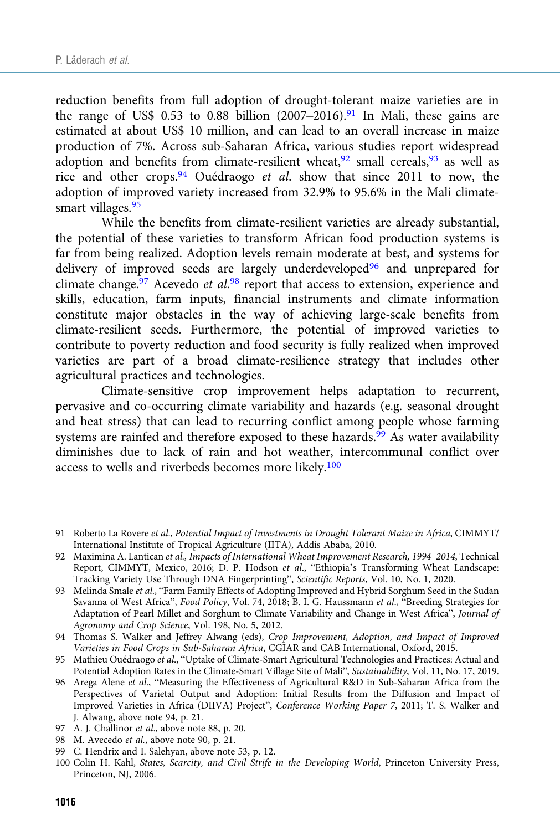reduction benefits from full adoption of drought-tolerant maize varieties are in the range of US\$ 0.53 to 0.88 billion  $(2007–2016).$ <sup>91</sup> In Mali, these gains are estimated at about US\$ 10 million, and can lead to an overall increase in maize production of 7%. Across sub-Saharan Africa, various studies report widespread adoption and benefits from climate-resilient wheat, $92$  small cereals, $93$  as well as rice and other crops.94 Ouédraogo et al. show that since 2011 to now, the adoption of improved variety increased from 32.9% to 95.6% in the Mali climatesmart villages.<sup>95</sup>

While the benefits from climate-resilient varieties are already substantial, the potential of these varieties to transform African food production systems is far from being realized. Adoption levels remain moderate at best, and systems for delivery of improved seeds are largely underdeveloped<sup>96</sup> and unprepared for climate change.<sup>97</sup> Acevedo et al.<sup>98</sup> report that access to extension, experience and skills, education, farm inputs, financial instruments and climate information constitute major obstacles in the way of achieving large-scale benefits from climate-resilient seeds. Furthermore, the potential of improved varieties to contribute to poverty reduction and food security is fully realized when improved varieties are part of a broad climate-resilience strategy that includes other agricultural practices and technologies.

Climate-sensitive crop improvement helps adaptation to recurrent, pervasive and co-occurring climate variability and hazards (e.g. seasonal drought and heat stress) that can lead to recurring conflict among people whose farming systems are rainfed and therefore exposed to these hazards.<sup>99</sup> As water availability diminishes due to lack of rain and hot weather, intercommunal conflict over access to wells and riverbeds becomes more likely.<sup>100</sup>

- 93 Melinda Smale et al., "Farm Family Effects of Adopting Improved and Hybrid Sorghum Seed in the Sudan Savanna of West Africa", Food Policy, Vol. 74, 2018; B. I. G. Haussmann et al., "Breeding Strategies for Adaptation of Pearl Millet and Sorghum to Climate Variability and Change in West Africa", Journal of Agronomy and Crop Science, Vol. 198, No. 5, 2012.
- 94 Thomas S. Walker and Jeffrey Alwang (eds), Crop Improvement, Adoption, and Impact of Improved Varieties in Food Crops in Sub-Saharan Africa, CGIAR and CAB International, Oxford, 2015.
- 95 Mathieu Ouédraogo et al., "Uptake of Climate-Smart Agricultural Technologies and Practices: Actual and Potential Adoption Rates in the Climate-Smart Village Site of Mali", Sustainability, Vol. 11, No. 17, 2019.
- 96 Arega Alene et al., "Measuring the Effectiveness of Agricultural R&D in Sub-Saharan Africa from the Perspectives of Varietal Output and Adoption: Initial Results from the Diffusion and Impact of Improved Varieties in Africa (DIIVA) Project", Conference Working Paper 7, 2011; T. S. Walker and J. Alwang, above note 94, p. 21.
- 97 A. J. Challinor et al., above note 88, p. 20.
- 98 M. Avecedo et al., above note 90, p. 21.
- 99 C. Hendrix and I. Salehyan, above note 53, p. 12.
- 100 Colin H. Kahl, States, Scarcity, and Civil Strife in the Developing World, Princeton University Press, Princeton, NJ, 2006.

<sup>91</sup> Roberto La Rovere et al., Potential Impact of Investments in Drought Tolerant Maize in Africa, CIMMYT/ International Institute of Tropical Agriculture (IITA), Addis Ababa, 2010.

<sup>92</sup> Maximina A. Lantican et al., Impacts of International Wheat Improvement Research, 1994–2014, Technical Report, CIMMYT, Mexico, 2016; D. P. Hodson et al., "Ethiopia's Transforming Wheat Landscape: Tracking Variety Use Through DNA Fingerprinting", Scientific Reports, Vol. 10, No. 1, 2020.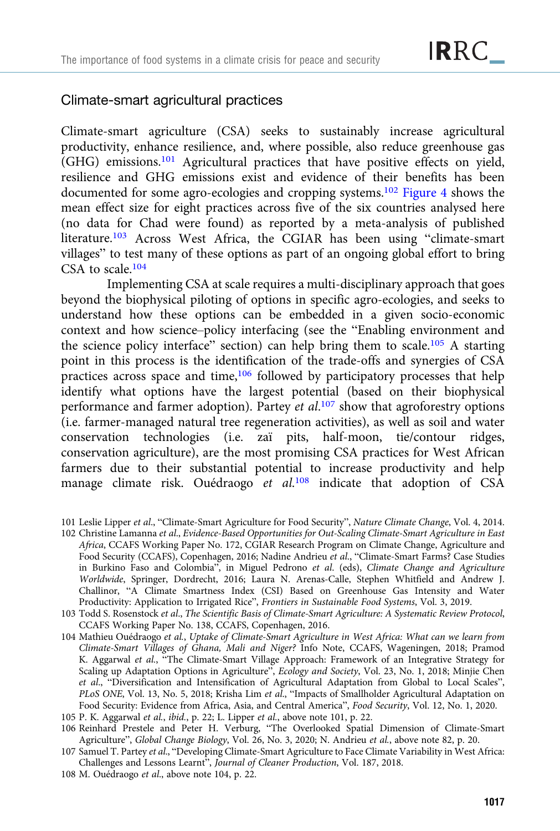### Climate-smart agricultural practices

Climate-smart agriculture (CSA) seeks to sustainably increase agricultural productivity, enhance resilience, and, where possible, also reduce greenhouse gas (GHG) emissions.101 Agricultural practices that have positive effects on yield, resilience and GHG emissions exist and evidence of their benefits has been documented for some agro-ecologies and cropping systems.102 [Figure 4](#page-23-0) shows the mean effect size for eight practices across five of the six countries analysed here (no data for Chad were found) as reported by a meta-analysis of published literature.103 Across West Africa, the CGIAR has been using "climate-smart villages" to test many of these options as part of an ongoing global effort to bring CSA to scale.<sup>104</sup>

Implementing CSA at scale requires a multi-disciplinary approach that goes beyond the biophysical piloting of options in specific agro-ecologies, and seeks to understand how these options can be embedded in a given socio-economic context and how science–policy interfacing (see the "Enabling environment and the science policy interface" section) can help bring them to scale.105 A starting point in this process is the identification of the trade-offs and synergies of CSA practices across space and time,106 followed by participatory processes that help identify what options have the largest potential (based on their biophysical performance and farmer adoption). Partey et al.<sup>107</sup> show that agroforestry options (i.e. farmer-managed natural tree regeneration activities), as well as soil and water conservation technologies (i.e. zaï pits, half-moon, tie/contour ridges, conservation agriculture), are the most promising CSA practices for West African farmers due to their substantial potential to increase productivity and help manage climate risk. Ouédraogo et al.<sup>108</sup> indicate that adoption of CSA

<sup>101</sup> Leslie Lipper et al., "Climate-Smart Agriculture for Food Security", Nature Climate Change, Vol. 4, 2014.

<sup>102</sup> Christine Lamanna et al., Evidence-Based Opportunities for Out-Scaling Climate-Smart Agriculture in East Africa, CCAFS Working Paper No. 172, CGIAR Research Program on Climate Change, Agriculture and Food Security (CCAFS), Copenhagen, 2016; Nadine Andrieu et al., "Climate-Smart Farms? Case Studies in Burkino Faso and Colombia", in Miguel Pedrono et al. (eds), Climate Change and Agriculture Worldwide, Springer, Dordrecht, 2016; Laura N. Arenas-Calle, Stephen Whitfield and Andrew J. Challinor, "A Climate Smartness Index (CSI) Based on Greenhouse Gas Intensity and Water Productivity: Application to Irrigated Rice", Frontiers in Sustainable Food Systems, Vol. 3, 2019.

<sup>103</sup> Todd S. Rosenstock et al., The Scientific Basis of Climate-Smart Agriculture: A Systematic Review Protocol, CCAFS Working Paper No. 138, CCAFS, Copenhagen, 2016.

<sup>104</sup> Mathieu Ouédraogo et al., Uptake of Climate-Smart Agriculture in West Africa: What can we learn from Climate-Smart Villages of Ghana, Mali and Niger? Info Note, CCAFS, Wageningen, 2018; Pramod K. Aggarwal et al., "The Climate-Smart Village Approach: Framework of an Integrative Strategy for Scaling up Adaptation Options in Agriculture", Ecology and Society, Vol. 23, No. 1, 2018; Minjie Chen et al., "Diversification and Intensification of Agricultural Adaptation from Global to Local Scales", PLoS ONE, Vol. 13, No. 5, 2018; Krisha Lim et al., "Impacts of Smallholder Agricultural Adaptation on Food Security: Evidence from Africa, Asia, and Central America", Food Security, Vol. 12, No. 1, 2020.

<sup>105</sup> P. K. Aggarwal et al., ibid., p. 22; L. Lipper et al., above note 101, p. 22.

<sup>106</sup> Reinhard Prestele and Peter H. Verburg, "The Overlooked Spatial Dimension of Climate-Smart Agriculture", Global Change Biology, Vol. 26, No. 3, 2020; N. Andrieu et al., above note 82, p. 20.

<sup>107</sup> Samuel T. Partey et al., "Developing Climate-Smart Agriculture to Face Climate Variability in West Africa: Challenges and Lessons Learnt", Journal of Cleaner Production, Vol. 187, 2018.

<sup>108</sup> M. Ouédraogo et al., above note 104, p. 22.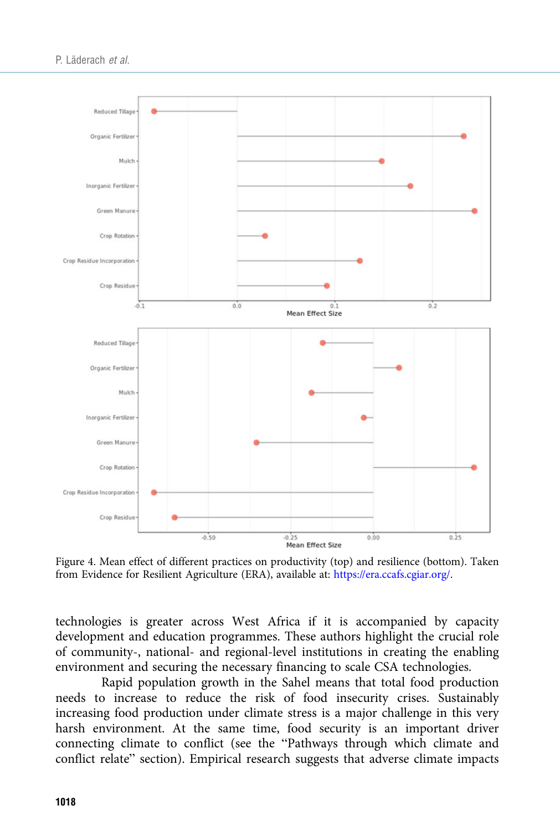<span id="page-23-0"></span>

Figure 4. Mean effect of different practices on productivity (top) and resilience (bottom). Taken from Evidence for Resilient Agriculture (ERA), available at: <https://era.ccafs.cgiar.org/>.

technologies is greater across West Africa if it is accompanied by capacity development and education programmes. These authors highlight the crucial role of community-, national- and regional-level institutions in creating the enabling environment and securing the necessary financing to scale CSA technologies.

Rapid population growth in the Sahel means that total food production needs to increase to reduce the risk of food insecurity crises. Sustainably increasing food production under climate stress is a major challenge in this very harsh environment. At the same time, food security is an important driver connecting climate to conflict (see the "Pathways through which climate and conflict relate" section). Empirical research suggests that adverse climate impacts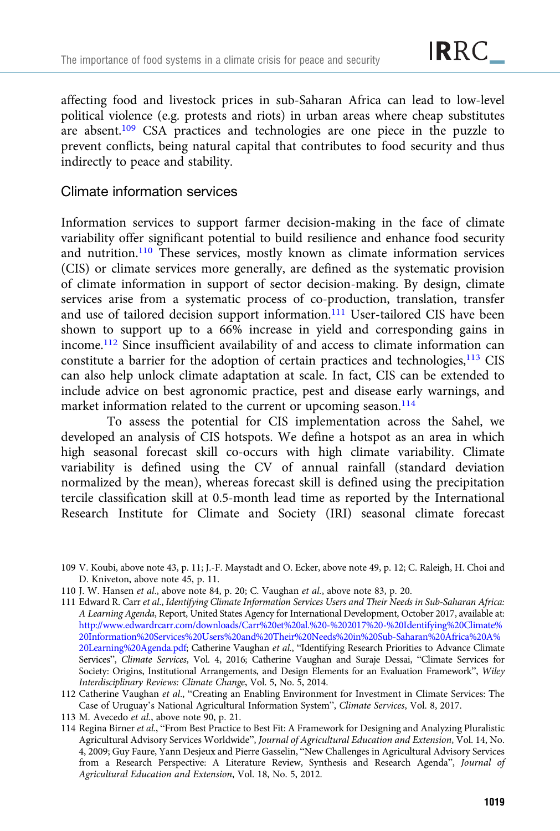affecting food and livestock prices in sub-Saharan Africa can lead to low-level political violence (e.g. protests and riots) in urban areas where cheap substitutes are absent.109 CSA practices and technologies are one piece in the puzzle to prevent conflicts, being natural capital that contributes to food security and thus indirectly to peace and stability.

## Climate information services

Information services to support farmer decision-making in the face of climate variability offer significant potential to build resilience and enhance food security and nutrition.110 These services, mostly known as climate information services (CIS) or climate services more generally, are defined as the systematic provision of climate information in support of sector decision-making. By design, climate services arise from a systematic process of co-production, translation, transfer and use of tailored decision support information.<sup>111</sup> User-tailored CIS have been shown to support up to a 66% increase in yield and corresponding gains in income.112 Since insufficient availability of and access to climate information can constitute a barrier for the adoption of certain practices and technologies, $113$  CIS can also help unlock climate adaptation at scale. In fact, CIS can be extended to include advice on best agronomic practice, pest and disease early warnings, and market information related to the current or upcoming season.<sup>114</sup>

To assess the potential for CIS implementation across the Sahel, we developed an analysis of CIS hotspots. We define a hotspot as an area in which high seasonal forecast skill co-occurs with high climate variability. Climate variability is defined using the CV of annual rainfall (standard deviation normalized by the mean), whereas forecast skill is defined using the precipitation tercile classification skill at 0.5-month lead time as reported by the International Research Institute for Climate and Society (IRI) seasonal climate forecast

- 109 V. Koubi, above note 43, p. 11; J.-F. Maystadt and O. Ecker, above note 49, p. 12; C. Raleigh, H. Choi and D. Kniveton, above note 45, p. 11.
- 110 J. W. Hansen et al., above note 84, p. 20; C. Vaughan et al., above note 83, p. 20.
- 111 Edward R. Carr et al., Identifying Climate Information Services Users and Their Needs in Sub-Saharan Africa: A Learning Agenda, Report, United States Agency for International Development, October 2017, available at: [http://www.edwardrcarr.com/downloads/Carr%20et%20al.%20-%202017%20-%20Identifying%20Climate%](http://www.edwardrcarr.com/downloads/Carr%20et%20al.%20-%202017%20-%20Identifying%20Climate%20Information%20Services%20Users%20and%20Their%20Needs%20in%20Sub-Saharan%20Africa%20A%20Learning%20Agenda.pdf) [20Information%20Services%20Users%20and%20Their%20Needs%20in%20Sub-Saharan%20Africa%20A%](http://www.edwardrcarr.com/downloads/Carr%20et%20al.%20-%202017%20-%20Identifying%20Climate%20Information%20Services%20Users%20and%20Their%20Needs%20in%20Sub-Saharan%20Africa%20A%20Learning%20Agenda.pdf) [20Learning%20Agenda.pdf](http://www.edwardrcarr.com/downloads/Carr%20et%20al.%20-%202017%20-%20Identifying%20Climate%20Information%20Services%20Users%20and%20Their%20Needs%20in%20Sub-Saharan%20Africa%20A%20Learning%20Agenda.pdf); Catherine Vaughan et al., "Identifying Research Priorities to Advance Climate Services", Climate Services, Vol. 4, 2016; Catherine Vaughan and Suraje Dessai, "Climate Services for Society: Origins, Institutional Arrangements, and Design Elements for an Evaluation Framework", Wiley Interdisciplinary Reviews: Climate Change, Vol. 5, No. 5, 2014.
- 112 Catherine Vaughan et al., "Creating an Enabling Environment for Investment in Climate Services: The Case of Uruguay's National Agricultural Information System", Climate Services, Vol. 8, 2017.
- 113 M. Avecedo et al., above note 90, p. 21.
- 114 Regina Birner et al., "From Best Practice to Best Fit: A Framework for Designing and Analyzing Pluralistic Agricultural Advisory Services Worldwide", Journal of Agricultural Education and Extension, Vol. 14, No. 4, 2009; Guy Faure, Yann Desjeux and Pierre Gasselin, "New Challenges in Agricultural Advisory Services from a Research Perspective: A Literature Review, Synthesis and Research Agenda", Journal of Agricultural Education and Extension, Vol. 18, No. 5, 2012.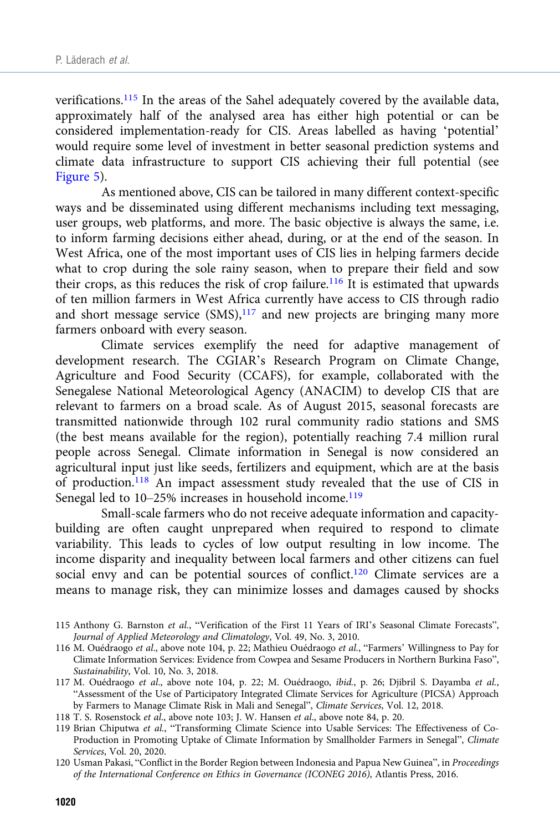verifications.115 In the areas of the Sahel adequately covered by the available data, approximately half of the analysed area has either high potential or can be considered implementation-ready for CIS. Areas labelled as having 'potential' would require some level of investment in better seasonal prediction systems and climate data infrastructure to support CIS achieving their full potential (see [Figure 5](#page-26-0)).

As mentioned above, CIS can be tailored in many different context-specific ways and be disseminated using different mechanisms including text messaging, user groups, web platforms, and more. The basic objective is always the same, i.e. to inform farming decisions either ahead, during, or at the end of the season. In West Africa, one of the most important uses of CIS lies in helping farmers decide what to crop during the sole rainy season, when to prepare their field and sow their crops, as this reduces the risk of crop failure.<sup>116</sup> It is estimated that upwards of ten million farmers in West Africa currently have access to CIS through radio and short message service  $(SMS)$ ,<sup>117</sup> and new projects are bringing many more farmers onboard with every season.

Climate services exemplify the need for adaptive management of development research. The CGIAR's Research Program on Climate Change, Agriculture and Food Security (CCAFS), for example, collaborated with the Senegalese National Meteorological Agency (ANACIM) to develop CIS that are relevant to farmers on a broad scale. As of August 2015, seasonal forecasts are transmitted nationwide through 102 rural community radio stations and SMS (the best means available for the region), potentially reaching 7.4 million rural people across Senegal. Climate information in Senegal is now considered an agricultural input just like seeds, fertilizers and equipment, which are at the basis of production.<sup>118</sup> An impact assessment study revealed that the use of CIS in Senegal led to 10–25% increases in household income.<sup>119</sup>

Small-scale farmers who do not receive adequate information and capacitybuilding are often caught unprepared when required to respond to climate variability. This leads to cycles of low output resulting in low income. The income disparity and inequality between local farmers and other citizens can fuel social envy and can be potential sources of conflict.<sup>120</sup> Climate services are a means to manage risk, they can minimize losses and damages caused by shocks

- 115 Anthony G. Barnston et al., "Verification of the First 11 Years of IRI's Seasonal Climate Forecasts", Journal of Applied Meteorology and Climatology, Vol. 49, No. 3, 2010.
- 116 M. Ouédraogo et al., above note 104, p. 22; Mathieu Ouédraogo et al., "Farmers' Willingness to Pay for Climate Information Services: Evidence from Cowpea and Sesame Producers in Northern Burkina Faso", Sustainability, Vol. 10, No. 3, 2018.
- 117 M. Ouédraogo et al., above note 104, p. 22; M. Ouédraogo, ibid., p. 26; Djibril S. Dayamba et al., "Assessment of the Use of Participatory Integrated Climate Services for Agriculture (PICSA) Approach by Farmers to Manage Climate Risk in Mali and Senegal", Climate Services, Vol. 12, 2018.

118 T. S. Rosenstock et al., above note 103; J. W. Hansen et al., above note 84, p. 20.

- 119 Brian Chiputwa et al., "Transforming Climate Science into Usable Services: The Effectiveness of Co-Production in Promoting Uptake of Climate Information by Smallholder Farmers in Senegal", Climate Services, Vol. 20, 2020.
- 120 Usman Pakasi, "Conflict in the Border Region between Indonesia and Papua New Guinea", in Proceedings of the International Conference on Ethics in Governance (ICONEG 2016), Atlantis Press, 2016.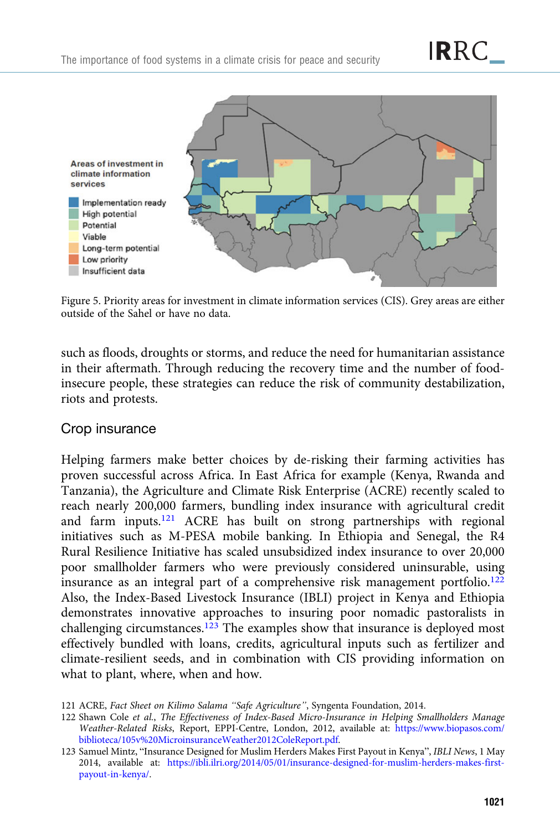<span id="page-26-0"></span>

Figure 5. Priority areas for investment in climate information services (CIS). Grey areas are either outside of the Sahel or have no data.

such as floods, droughts or storms, and reduce the need for humanitarian assistance in their aftermath. Through reducing the recovery time and the number of foodinsecure people, these strategies can reduce the risk of community destabilization, riots and protests.

## Crop insurance

Helping farmers make better choices by de-risking their farming activities has proven successful across Africa. In East Africa for example (Kenya, Rwanda and Tanzania), the Agriculture and Climate Risk Enterprise (ACRE) recently scaled to reach nearly 200,000 farmers, bundling index insurance with agricultural credit and farm inputs.121 ACRE has built on strong partnerships with regional initiatives such as M-PESA mobile banking. In Ethiopia and Senegal, the R4 Rural Resilience Initiative has scaled unsubsidized index insurance to over 20,000 poor smallholder farmers who were previously considered uninsurable, using insurance as an integral part of a comprehensive risk management portfolio.<sup>122</sup> Also, the Index-Based Livestock Insurance (IBLI) project in Kenya and Ethiopia demonstrates innovative approaches to insuring poor nomadic pastoralists in challenging circumstances.<sup>123</sup> The examples show that insurance is deployed most effectively bundled with loans, credits, agricultural inputs such as fertilizer and climate-resilient seeds, and in combination with CIS providing information on what to plant, where, when and how.

**IRRC** 

<sup>121</sup> ACRE, Fact Sheet on Kilimo Salama "Safe Agriculture", Syngenta Foundation, 2014.

<sup>122</sup> Shawn Cole et al., The Effectiveness of Index-Based Micro-Insurance in Helping Smallholders Manage Weather-Related Risks, Report, EPPI-Centre, London, 2012, available at: [https://www.biopasos.com/](https://www.biopasos.com/biblioteca/105v%20MicroinsuranceWeather2012ColeReport.pdf) [biblioteca/105v%20MicroinsuranceWeather2012ColeReport.pdf](https://www.biopasos.com/biblioteca/105v%20MicroinsuranceWeather2012ColeReport.pdf).

<sup>123</sup> Samuel Mintz, "Insurance Designed for Muslim Herders Makes First Payout in Kenya", IBLI News, 1 May 2014, available at: [https://ibli.ilri.org/2014/05/01/insurance-designed-for-muslim-herders-makes-first](https://ibli.ilri.org/2014/05/01/insurance-designed-for-muslim-herders-makes-first-payout-in-kenya/)[payout-in-kenya/](https://ibli.ilri.org/2014/05/01/insurance-designed-for-muslim-herders-makes-first-payout-in-kenya/).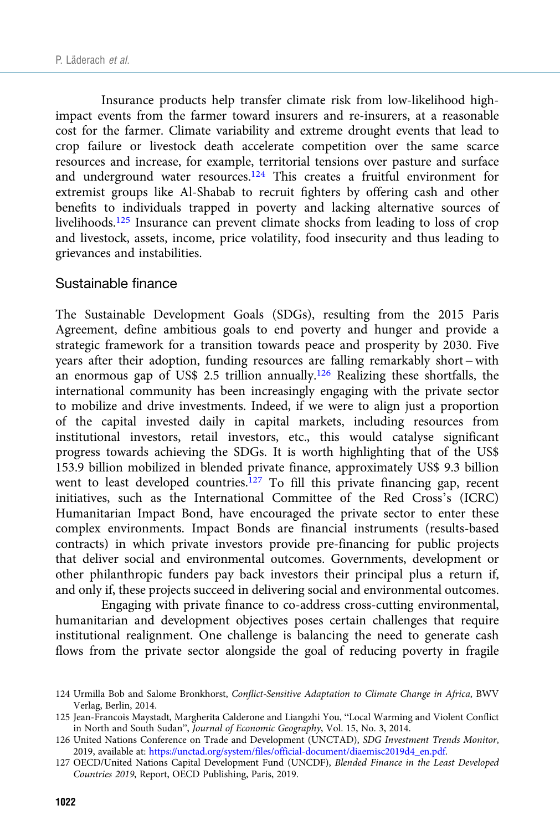Insurance products help transfer climate risk from low-likelihood highimpact events from the farmer toward insurers and re-insurers, at a reasonable cost for the farmer. Climate variability and extreme drought events that lead to crop failure or livestock death accelerate competition over the same scarce resources and increase, for example, territorial tensions over pasture and surface and underground water resources.124 This creates a fruitful environment for extremist groups like Al-Shabab to recruit fighters by offering cash and other benefits to individuals trapped in poverty and lacking alternative sources of livelihoods.<sup>125</sup> Insurance can prevent climate shocks from leading to loss of crop and livestock, assets, income, price volatility, food insecurity and thus leading to grievances and instabilities.

#### Sustainable finance

The Sustainable Development Goals (SDGs), resulting from the 2015 Paris Agreement, define ambitious goals to end poverty and hunger and provide a strategic framework for a transition towards peace and prosperity by 2030. Five years after their adoption, funding resources are falling remarkably short – with an enormous gap of US\$ 2.5 trillion annually.126 Realizing these shortfalls, the international community has been increasingly engaging with the private sector to mobilize and drive investments. Indeed, if we were to align just a proportion of the capital invested daily in capital markets, including resources from institutional investors, retail investors, etc., this would catalyse significant progress towards achieving the SDGs. It is worth highlighting that of the US\$ 153.9 billion mobilized in blended private finance, approximately US\$ 9.3 billion went to least developed countries.<sup>127</sup> To fill this private financing gap, recent initiatives, such as the International Committee of the Red Cross's (ICRC) Humanitarian Impact Bond, have encouraged the private sector to enter these complex environments. Impact Bonds are financial instruments (results-based contracts) in which private investors provide pre-financing for public projects that deliver social and environmental outcomes. Governments, development or other philanthropic funders pay back investors their principal plus a return if, and only if, these projects succeed in delivering social and environmental outcomes.

Engaging with private finance to co-address cross-cutting environmental, humanitarian and development objectives poses certain challenges that require institutional realignment. One challenge is balancing the need to generate cash flows from the private sector alongside the goal of reducing poverty in fragile

<sup>124</sup> Urmilla Bob and Salome Bronkhorst, Conflict-Sensitive Adaptation to Climate Change in Africa, BWV Verlag, Berlin, 2014.

<sup>125</sup> Jean-Francois Maystadt, Margherita Calderone and Liangzhi You, "Local Warming and Violent Conflict in North and South Sudan", Journal of Economic Geography, Vol. 15, No. 3, 2014.

<sup>126</sup> United Nations Conference on Trade and Development (UNCTAD), SDG Investment Trends Monitor, 2019, available at: [https://unctad.org/system/files/official-document/diaemisc2019d4\\_en.pdf](https://unctad.org/system/files/official-document/diaemisc2019d4_en.pdf).

<sup>127</sup> OECD/United Nations Capital Development Fund (UNCDF), Blended Finance in the Least Developed Countries 2019, Report, OECD Publishing, Paris, 2019.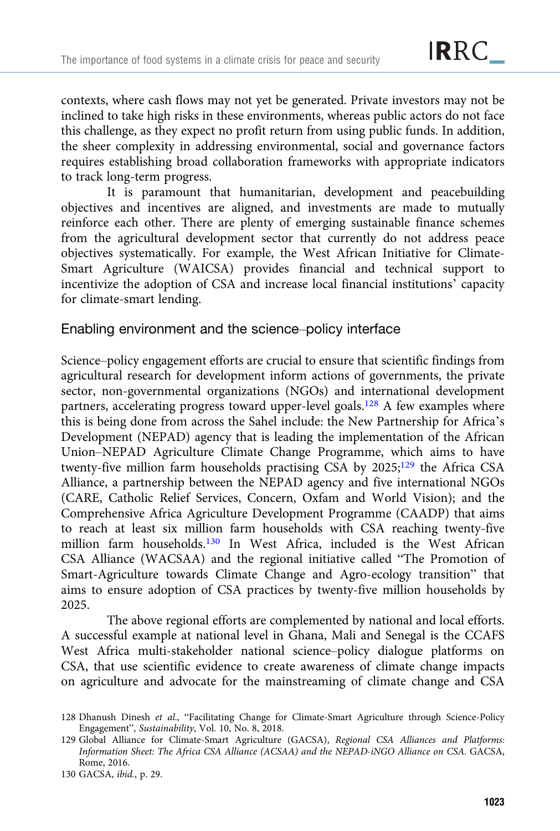contexts, where cash flows may not yet be generated. Private investors may not be inclined to take high risks in these environments, whereas public actors do not face this challenge, as they expect no profit return from using public funds. In addition, the sheer complexity in addressing environmental, social and governance factors requires establishing broad collaboration frameworks with appropriate indicators to track long-term progress.

It is paramount that humanitarian, development and peacebuilding objectives and incentives are aligned, and investments are made to mutually reinforce each other. There are plenty of emerging sustainable finance schemes from the agricultural development sector that currently do not address peace objectives systematically. For example, the West African Initiative for Climate-Smart Agriculture (WAICSA) provides financial and technical support to incentivize the adoption of CSA and increase local financial institutions' capacity for climate-smart lending.

## Enabling environment and the science–policy interface

Science–policy engagement efforts are crucial to ensure that scientific findings from agricultural research for development inform actions of governments, the private sector, non-governmental organizations (NGOs) and international development partners, accelerating progress toward upper-level goals.<sup>128</sup> A few examples where this is being done from across the Sahel include: the New Partnership for Africa's Development (NEPAD) agency that is leading the implementation of the African Union–NEPAD Agriculture Climate Change Programme, which aims to have twenty-five million farm households practising CSA by 2025;<sup>129</sup> the Africa CSA Alliance, a partnership between the NEPAD agency and five international NGOs (CARE, Catholic Relief Services, Concern, Oxfam and World Vision); and the Comprehensive Africa Agriculture Development Programme (CAADP) that aims to reach at least six million farm households with CSA reaching twenty-five million farm households.<sup>130</sup> In West Africa, included is the West African CSA Alliance (WACSAA) and the regional initiative called "The Promotion of Smart-Agriculture towards Climate Change and Agro-ecology transition" that aims to ensure adoption of CSA practices by twenty-five million households by 2025.

The above regional efforts are complemented by national and local efforts. A successful example at national level in Ghana, Mali and Senegal is the CCAFS West Africa multi-stakeholder national science–policy dialogue platforms on CSA, that use scientific evidence to create awareness of climate change impacts on agriculture and advocate for the mainstreaming of climate change and CSA

<sup>128</sup> Dhanush Dinesh et al., "Facilitating Change for Climate-Smart Agriculture through Science-Policy Engagement", Sustainability, Vol. 10, No. 8, 2018.

<sup>129</sup> Global Alliance for Climate-Smart Agriculture (GACSA), Regional CSA Alliances and Platforms: Information Sheet: The Africa CSA Alliance (ACSAA) and the NEPAD-iNGO Alliance on CSA. GACSA, Rome, 2016.

<sup>130</sup> GACSA, ibid., p. 29.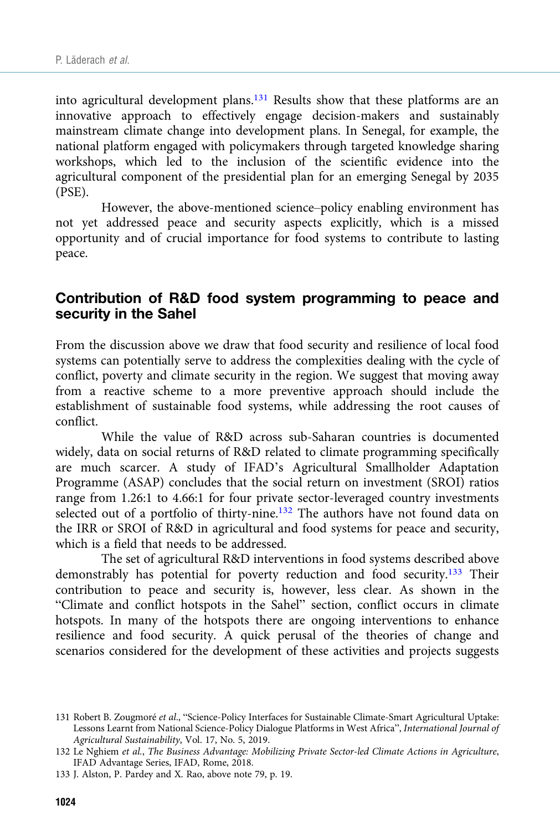into agricultural development plans.131 Results show that these platforms are an innovative approach to effectively engage decision-makers and sustainably mainstream climate change into development plans. In Senegal, for example, the national platform engaged with policymakers through targeted knowledge sharing workshops, which led to the inclusion of the scientific evidence into the agricultural component of the presidential plan for an emerging Senegal by 2035 (PSE).

However, the above-mentioned science–policy enabling environment has not yet addressed peace and security aspects explicitly, which is a missed opportunity and of crucial importance for food systems to contribute to lasting peace.

## Contribution of R&D food system programming to peace and security in the Sahel

From the discussion above we draw that food security and resilience of local food systems can potentially serve to address the complexities dealing with the cycle of conflict, poverty and climate security in the region. We suggest that moving away from a reactive scheme to a more preventive approach should include the establishment of sustainable food systems, while addressing the root causes of conflict.

While the value of R&D across sub-Saharan countries is documented widely, data on social returns of R&D related to climate programming specifically are much scarcer. A study of IFAD's Agricultural Smallholder Adaptation Programme (ASAP) concludes that the social return on investment (SROI) ratios range from 1.26:1 to 4.66:1 for four private sector-leveraged country investments selected out of a portfolio of thirty-nine.<sup>132</sup> The authors have not found data on the IRR or SROI of R&D in agricultural and food systems for peace and security, which is a field that needs to be addressed.

The set of agricultural R&D interventions in food systems described above demonstrably has potential for poverty reduction and food security.<sup>133</sup> Their contribution to peace and security is, however, less clear. As shown in the "Climate and conflict hotspots in the Sahel" section, conflict occurs in climate hotspots. In many of the hotspots there are ongoing interventions to enhance resilience and food security. A quick perusal of the theories of change and scenarios considered for the development of these activities and projects suggests

<sup>131</sup> Robert B. Zougmoré et al., "Science-Policy Interfaces for Sustainable Climate-Smart Agricultural Uptake: Lessons Learnt from National Science-Policy Dialogue Platforms in West Africa", International Journal of Agricultural Sustainability, Vol. 17, No. 5, 2019.

<sup>132</sup> Le Nghiem et al., The Business Advantage: Mobilizing Private Sector-led Climate Actions in Agriculture, IFAD Advantage Series, IFAD, Rome, 2018.

<sup>133</sup> J. Alston, P. Pardey and X. Rao, above note 79, p. 19.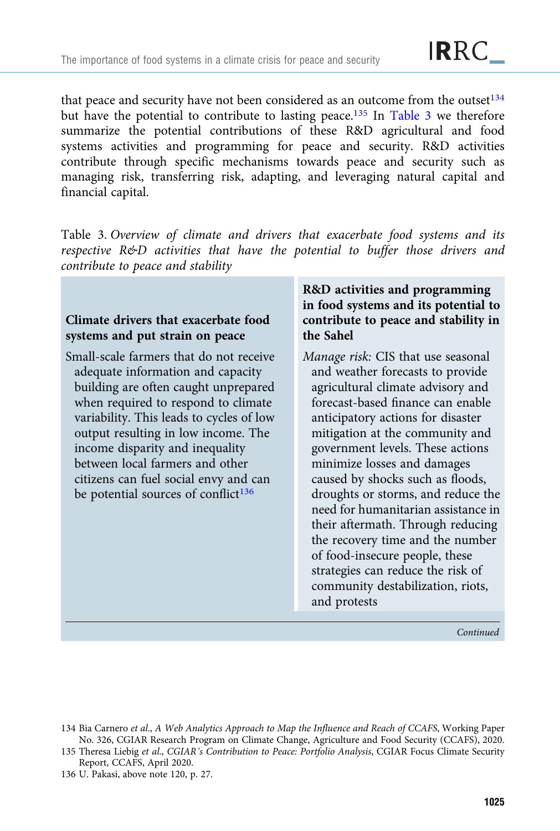that peace and security have not been considered as an outcome from the outset $134$ but have the potential to contribute to lasting peace.<sup>135</sup> In Table 3 we therefore summarize the potential contributions of these R&D agricultural and food systems activities and programming for peace and security. R&D activities contribute through specific mechanisms towards peace and security such as managing risk, transferring risk, adapting, and leveraging natural capital and financial capital.

Table 3. Overview of climate and drivers that exacerbate food systems and its respective R&D activities that have the potential to buffer those drivers and contribute to peace and stability

## Climate drivers that exacerbate food systems and put strain on peace

Small-scale farmers that do not receive adequate information and capacity building are often caught unprepared when required to respond to climate variability. This leads to cycles of low output resulting in low income. The income disparity and inequality between local farmers and other citizens can fuel social envy and can be potential sources of conflict<sup>136</sup>

## R&D activities and programming in food systems and its potential to contribute to peace and stability in the Sahel

Manage risk: CIS that use seasonal and weather forecasts to provide agricultural climate advisory and forecast-based finance can enable anticipatory actions for disaster mitigation at the community and government levels. These actions minimize losses and damages caused by shocks such as floods, droughts or storms, and reduce the need for humanitarian assistance in their aftermath. Through reducing the recovery time and the number of food-insecure people, these strategies can reduce the risk of community destabilization, riots, and protests

Continued

- 134 Bia Carnero et al., A Web Analytics Approach to Map the Influence and Reach of CCAFS, Working Paper No. 326, CGIAR Research Program on Climate Change, Agriculture and Food Security (CCAFS), 2020.
- 135 Theresa Liebig et al., CGIAR's Contribution to Peace: Portfolio Analysis, CGIAR Focus Climate Security Report, CCAFS, April 2020.
- 136 U. Pakasi, above note 120, p. 27.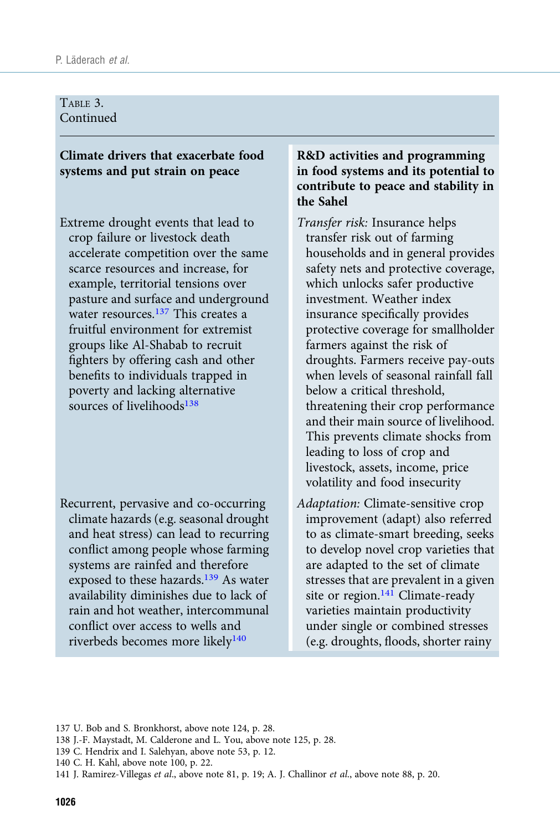#### TABLE 3. Continued

## Climate drivers that exacerbate food systems and put strain on peace

Extreme drought events that lead to crop failure or livestock death accelerate competition over the same scarce resources and increase, for example, territorial tensions over pasture and surface and underground water resources.<sup>137</sup> This creates a fruitful environment for extremist groups like Al-Shabab to recruit fighters by offering cash and other benefits to individuals trapped in poverty and lacking alternative sources of livelihoods<sup>138</sup>

Recurrent, pervasive and co-occurring climate hazards (e.g. seasonal drought and heat stress) can lead to recurring conflict among people whose farming systems are rainfed and therefore exposed to these hazards.<sup>139</sup> As water availability diminishes due to lack of rain and hot weather, intercommunal conflict over access to wells and riverbeds becomes more likely<sup>140</sup>

### R&D activities and programming in food systems and its potential to contribute to peace and stability in the Sahel

- Transfer risk: Insurance helps transfer risk out of farming households and in general provides safety nets and protective coverage, which unlocks safer productive investment. Weather index insurance specifically provides protective coverage for smallholder farmers against the risk of droughts. Farmers receive pay-outs when levels of seasonal rainfall fall below a critical threshold, threatening their crop performance and their main source of livelihood. This prevents climate shocks from leading to loss of crop and livestock, assets, income, price volatility and food insecurity
- Adaptation: Climate-sensitive crop improvement (adapt) also referred to as climate-smart breeding, seeks to develop novel crop varieties that are adapted to the set of climate stresses that are prevalent in a given site or region. $141$  Climate-ready varieties maintain productivity under single or combined stresses (e.g. droughts, floods, shorter rainy

- 138 J.-F. Maystadt, M. Calderone and L. You, above note 125, p. 28.
- 139 C. Hendrix and I. Salehyan, above note 53, p. 12.

<sup>137</sup> U. Bob and S. Bronkhorst, above note 124, p. 28.

<sup>140</sup> C. H. Kahl, above note 100, p. 22.

<sup>141</sup> J. Ramirez-Villegas et al., above note 81, p. 19; A. J. Challinor et al., above note 88, p. 20.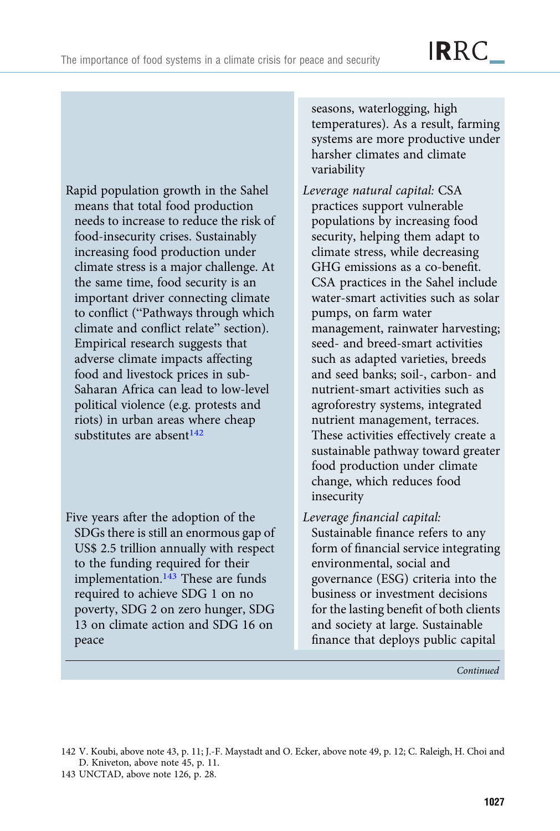Rapid population growth in the Sahel means that total food production needs to increase to reduce the risk of food-insecurity crises. Sustainably increasing food production under climate stress is a major challenge. At the same time, food security is an important driver connecting climate to conflict ("Pathways through which climate and conflict relate" section). Empirical research suggests that adverse climate impacts affecting food and livestock prices in sub-Saharan Africa can lead to low-level political violence (e.g. protests and riots) in urban areas where cheap substitutes are absent<sup>142</sup>

Five years after the adoption of the SDGs there is still an enormous gap of US\$ 2.5 trillion annually with respect to the funding required for their implementation.<sup>143</sup> These are funds required to achieve SDG 1 on no poverty, SDG 2 on zero hunger, SDG 13 on climate action and SDG 16 on peace

seasons, waterlogging, high temperatures). As a result, farming systems are more productive under harsher climates and climate variability

- Leverage natural capital: CSA practices support vulnerable populations by increasing food security, helping them adapt to climate stress, while decreasing GHG emissions as a co-benefit. CSA practices in the Sahel include water-smart activities such as solar pumps, on farm water management, rainwater harvesting; seed- and breed-smart activities such as adapted varieties, breeds and seed banks; soil-, carbon- and nutrient-smart activities such as agroforestry systems, integrated nutrient management, terraces. These activities effectively create a sustainable pathway toward greater food production under climate change, which reduces food insecurity
- Leverage financial capital:

Sustainable finance refers to any form of financial service integrating environmental, social and governance (ESG) criteria into the business or investment decisions for the lasting benefit of both clients and society at large. Sustainable finance that deploys public capital

Continued

<sup>142</sup> V. Koubi, above note 43, p. 11; J.-F. Maystadt and O. Ecker, above note 49, p. 12; C. Raleigh, H. Choi and D. Kniveton, above note 45, p. 11.

<sup>143</sup> UNCTAD, above note 126, p. 28.